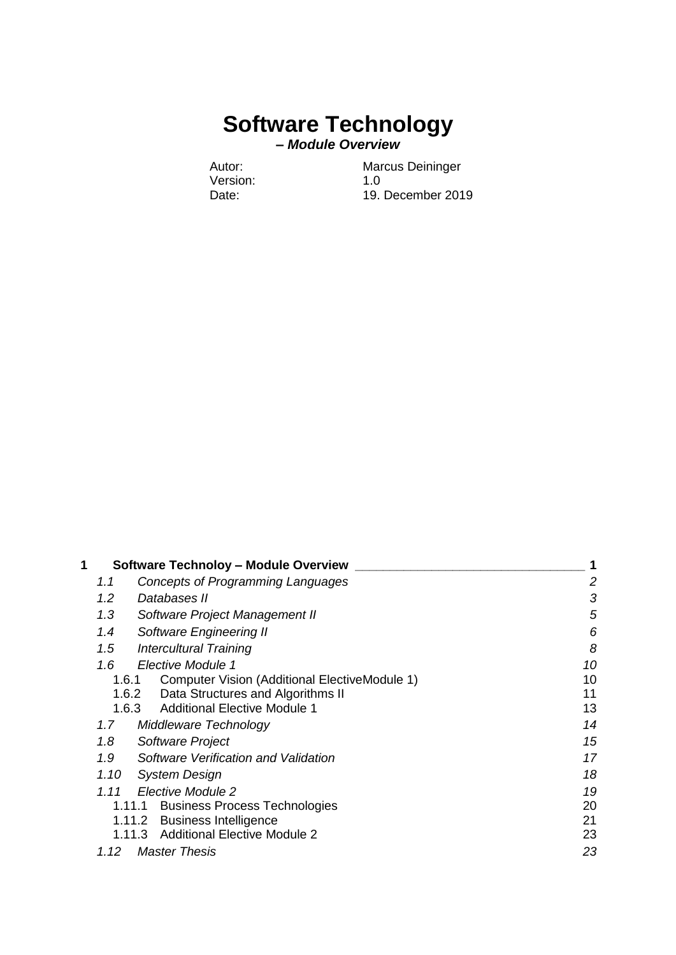# **Software Technology**

**–** *Module Overview*

Version:

Autor: Marcus Deininger<br>
Version: 1.0 Date: 19. December 2019

| 1 | <b>Software Technoloy - Module Overview</b>            | 1  |
|---|--------------------------------------------------------|----|
|   | Concepts of Programming Languages<br>1.1               | 2  |
|   | 1.2<br>Databases II                                    | 3  |
|   | 1.3<br>Software Project Management II                  | 5  |
|   | 1.4<br>Software Engineering II                         | 6  |
|   | 1.5<br><b>Intercultural Training</b>                   | 8  |
|   | 1.6<br>Elective Module 1                               | 10 |
|   | 1.6.1<br>Computer Vision (Additional ElectiveModule 1) | 10 |
|   | 1.6.2<br>Data Structures and Algorithms II             | 11 |
|   | <b>Additional Elective Module 1</b><br>1.6.3           | 13 |
|   | 1.7<br>Middleware Technology                           | 14 |
|   | 1.8<br>Software Project                                | 15 |
|   | 1.9<br>Software Verification and Validation            | 17 |
|   | 1.10<br><b>System Design</b>                           | 18 |
|   | Elective Module 2<br>1.11                              | 19 |
|   | <b>Business Process Technologies</b><br>1.11.1         | 20 |
|   | <b>Business Intelligence</b><br>1.11.2                 | 21 |
|   | <b>Additional Elective Module 2</b><br>1.11.3          | 23 |
|   | 1.12<br><b>Master Thesis</b>                           | 23 |
|   |                                                        |    |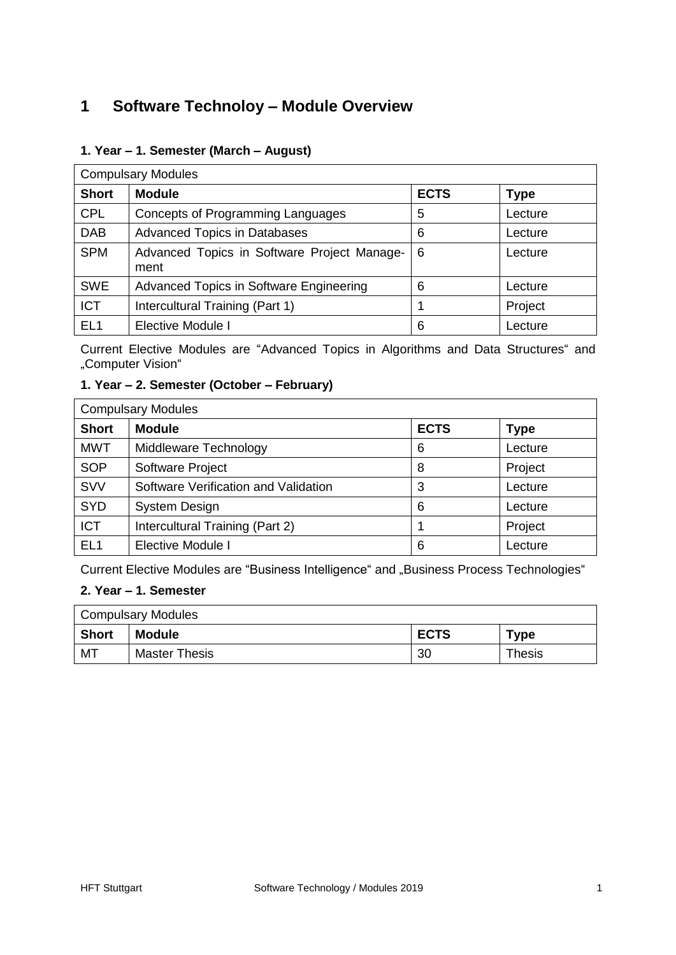# <span id="page-1-0"></span>**1 Software Technoloy – Module Overview**

#### **1. Year – 1. Semester (March – August)**

| <b>Compulsary Modules</b> |                                                     |             |             |
|---------------------------|-----------------------------------------------------|-------------|-------------|
| <b>Short</b>              | <b>Module</b>                                       | <b>ECTS</b> | <b>Type</b> |
| <b>CPL</b>                | Concepts of Programming Languages                   | 5           | Lecture     |
| <b>DAB</b>                | <b>Advanced Topics in Databases</b>                 | 6           | Lecture     |
| <b>SPM</b>                | Advanced Topics in Software Project Manage-<br>ment | 6           | Lecture     |
| <b>SWE</b>                | Advanced Topics in Software Engineering             | 6           | Lecture     |
| <b>ICT</b>                | Intercultural Training (Part 1)                     |             | Project     |
| EL <sub>1</sub>           | Elective Module I                                   | 6           | Lecture     |

Current Elective Modules are "Advanced Topics in Algorithms and Data Structures" and "Computer Vision"

#### **1. Year – 2. Semester (October – February)**

| <b>Compulsary Modules</b> |                                      |             |             |
|---------------------------|--------------------------------------|-------------|-------------|
| <b>Short</b>              | <b>Module</b>                        | <b>ECTS</b> | <b>Type</b> |
| <b>MWT</b>                | Middleware Technology                | 6           | Lecture     |
| <b>SOP</b>                | Software Project                     | 8           | Project     |
| <b>SVV</b>                | Software Verification and Validation | 3           | Lecture     |
| <b>SYD</b>                | <b>System Design</b>                 | 6           | Lecture     |
| <b>ICT</b>                | Intercultural Training (Part 2)      |             | Project     |
| EL <sub>1</sub>           | <b>Elective Module I</b>             | 6           | Lecture     |

Current Elective Modules are "Business Intelligence" and "Business Process Technologies"

#### **2. Year – 1. Semester**

| <b>Compulsary Modules</b> |                      |             |             |
|---------------------------|----------------------|-------------|-------------|
| <b>Short</b>              | <b>Module</b>        | <b>ECTS</b> | <b>Type</b> |
| MT                        | <b>Master Thesis</b> | 30          | Thesis      |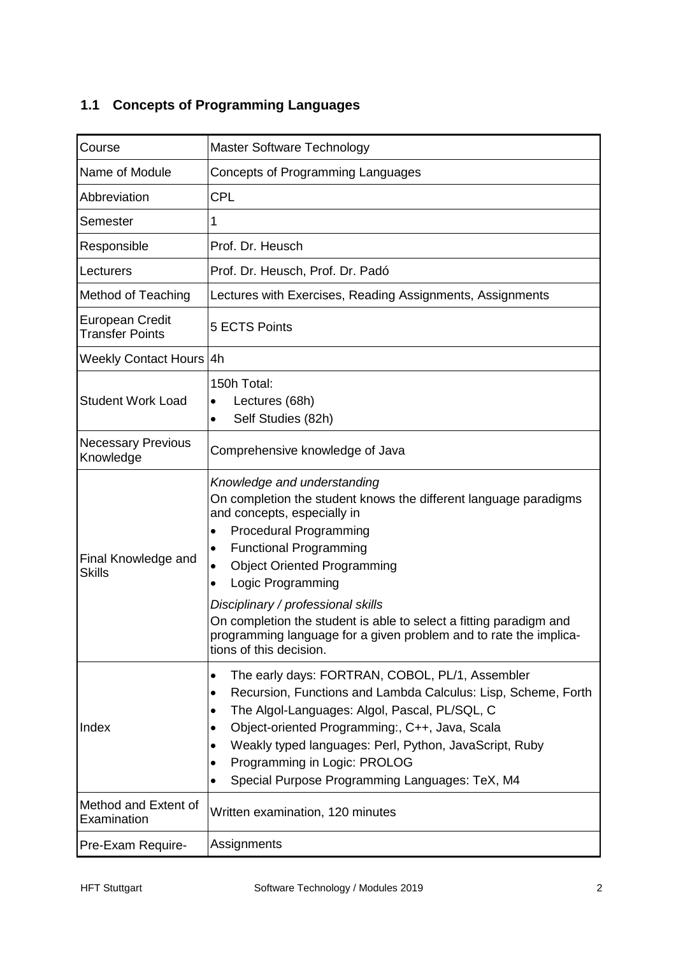# <span id="page-2-0"></span>**1.1 Concepts of Programming Languages**

| Course                                           | <b>Master Software Technology</b>                                                                                                                                                                                                                                                                                                                                                                                                                                                                           |
|--------------------------------------------------|-------------------------------------------------------------------------------------------------------------------------------------------------------------------------------------------------------------------------------------------------------------------------------------------------------------------------------------------------------------------------------------------------------------------------------------------------------------------------------------------------------------|
| Name of Module                                   | <b>Concepts of Programming Languages</b>                                                                                                                                                                                                                                                                                                                                                                                                                                                                    |
| Abbreviation                                     | <b>CPL</b>                                                                                                                                                                                                                                                                                                                                                                                                                                                                                                  |
| Semester                                         | 1                                                                                                                                                                                                                                                                                                                                                                                                                                                                                                           |
| Responsible                                      | Prof. Dr. Heusch                                                                                                                                                                                                                                                                                                                                                                                                                                                                                            |
| Lecturers                                        | Prof. Dr. Heusch, Prof. Dr. Padó                                                                                                                                                                                                                                                                                                                                                                                                                                                                            |
| <b>Method of Teaching</b>                        | Lectures with Exercises, Reading Assignments, Assignments                                                                                                                                                                                                                                                                                                                                                                                                                                                   |
| <b>European Credit</b><br><b>Transfer Points</b> | 5 ECTS Points                                                                                                                                                                                                                                                                                                                                                                                                                                                                                               |
| Weekly Contact Hours 4h                          |                                                                                                                                                                                                                                                                                                                                                                                                                                                                                                             |
| <b>Student Work Load</b>                         | 150h Total:<br>Lectures (68h)<br>٠<br>Self Studies (82h)<br>$\bullet$                                                                                                                                                                                                                                                                                                                                                                                                                                       |
| <b>Necessary Previous</b><br>Knowledge           | Comprehensive knowledge of Java                                                                                                                                                                                                                                                                                                                                                                                                                                                                             |
| Final Knowledge and<br><b>Skills</b>             | Knowledge and understanding<br>On completion the student knows the different language paradigms<br>and concepts, especially in<br><b>Procedural Programming</b><br>٠<br><b>Functional Programming</b><br>٠<br><b>Object Oriented Programming</b><br>$\bullet$<br>Logic Programming<br>$\bullet$<br>Disciplinary / professional skills<br>On completion the student is able to select a fitting paradigm and<br>programming language for a given problem and to rate the implica-<br>tions of this decision. |
| Index                                            | The early days: FORTRAN, COBOL, PL/1, Assembler<br>$\bullet$<br>Recursion, Functions and Lambda Calculus: Lisp, Scheme, Forth<br>٠<br>The Algol-Languages: Algol, Pascal, PL/SQL, C<br>$\bullet$<br>Object-oriented Programming:, C++, Java, Scala<br>$\bullet$<br>Weakly typed languages: Perl, Python, JavaScript, Ruby<br>$\bullet$<br>Programming in Logic: PROLOG<br>$\bullet$<br>Special Purpose Programming Languages: TeX, M4                                                                       |
| Method and Extent of<br>Examination              | Written examination, 120 minutes                                                                                                                                                                                                                                                                                                                                                                                                                                                                            |
| Pre-Exam Require-                                | Assignments                                                                                                                                                                                                                                                                                                                                                                                                                                                                                                 |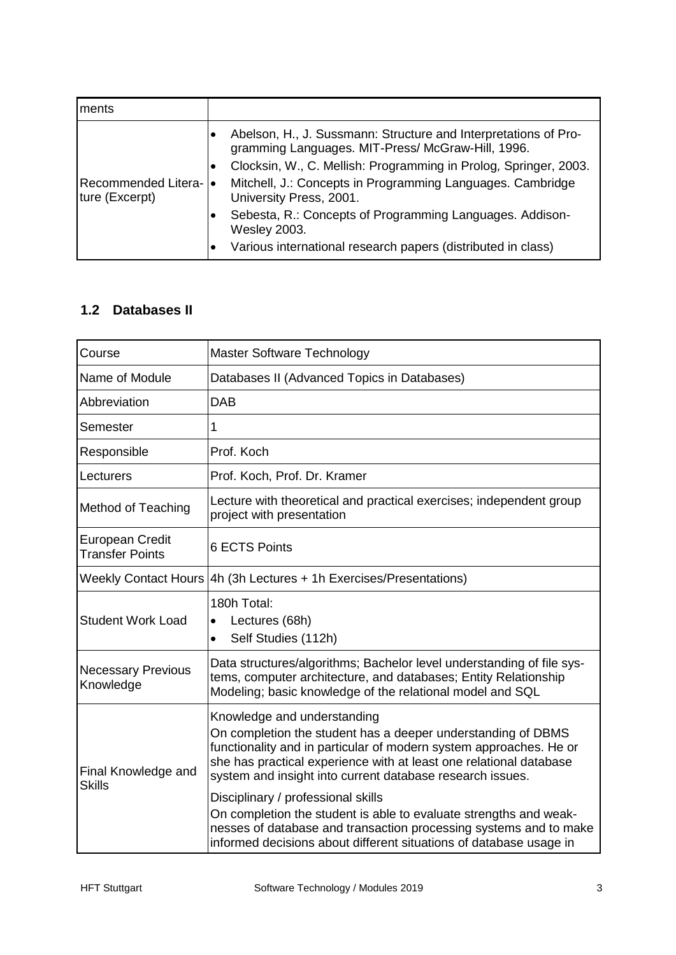| ments                                    |           |                                                                                                                      |
|------------------------------------------|-----------|----------------------------------------------------------------------------------------------------------------------|
|                                          |           | Abelson, H., J. Sussmann: Structure and Interpretations of Pro-<br>gramming Languages. MIT-Press/ McGraw-Hill, 1996. |
|                                          | $\bullet$ | Clocksin, W., C. Mellish: Programming in Prolog, Springer, 2003.                                                     |
| Recommended Litera-  •<br>ture (Excerpt) |           | Mitchell, J.: Concepts in Programming Languages. Cambridge<br>University Press, 2001.                                |
|                                          |           | Sebesta, R.: Concepts of Programming Languages. Addison-<br><b>Wesley 2003.</b>                                      |
|                                          |           | Various international research papers (distributed in class)                                                         |

#### <span id="page-3-0"></span>**1.2 Databases II**

| Course                                    | Master Software Technology                                                                                                                                                                                                                                                                                                                                                                                                                                                                                                                                 |
|-------------------------------------------|------------------------------------------------------------------------------------------------------------------------------------------------------------------------------------------------------------------------------------------------------------------------------------------------------------------------------------------------------------------------------------------------------------------------------------------------------------------------------------------------------------------------------------------------------------|
| Name of Module                            | Databases II (Advanced Topics in Databases)                                                                                                                                                                                                                                                                                                                                                                                                                                                                                                                |
| Abbreviation                              | <b>DAB</b>                                                                                                                                                                                                                                                                                                                                                                                                                                                                                                                                                 |
| Semester                                  | 1                                                                                                                                                                                                                                                                                                                                                                                                                                                                                                                                                          |
| Responsible                               | Prof. Koch                                                                                                                                                                                                                                                                                                                                                                                                                                                                                                                                                 |
| Lecturers                                 | Prof. Koch, Prof. Dr. Kramer                                                                                                                                                                                                                                                                                                                                                                                                                                                                                                                               |
| <b>Method of Teaching</b>                 | Lecture with theoretical and practical exercises; independent group<br>project with presentation                                                                                                                                                                                                                                                                                                                                                                                                                                                           |
| European Credit<br><b>Transfer Points</b> | <b>6 ECTS Points</b>                                                                                                                                                                                                                                                                                                                                                                                                                                                                                                                                       |
|                                           | Weekly Contact Hours 4h (3h Lectures + 1h Exercises/Presentations)                                                                                                                                                                                                                                                                                                                                                                                                                                                                                         |
| <b>Student Work Load</b>                  | 180h Total:<br>Lectures (68h)<br>$\bullet$<br>Self Studies (112h)<br>$\bullet$                                                                                                                                                                                                                                                                                                                                                                                                                                                                             |
| <b>Necessary Previous</b><br>Knowledge    | Data structures/algorithms; Bachelor level understanding of file sys-<br>tems, computer architecture, and databases; Entity Relationship<br>Modeling; basic knowledge of the relational model and SQL                                                                                                                                                                                                                                                                                                                                                      |
| Final Knowledge and<br><b>Skills</b>      | Knowledge and understanding<br>On completion the student has a deeper understanding of DBMS<br>functionality and in particular of modern system approaches. He or<br>she has practical experience with at least one relational database<br>system and insight into current database research issues.<br>Disciplinary / professional skills<br>On completion the student is able to evaluate strengths and weak-<br>nesses of database and transaction processing systems and to make<br>informed decisions about different situations of database usage in |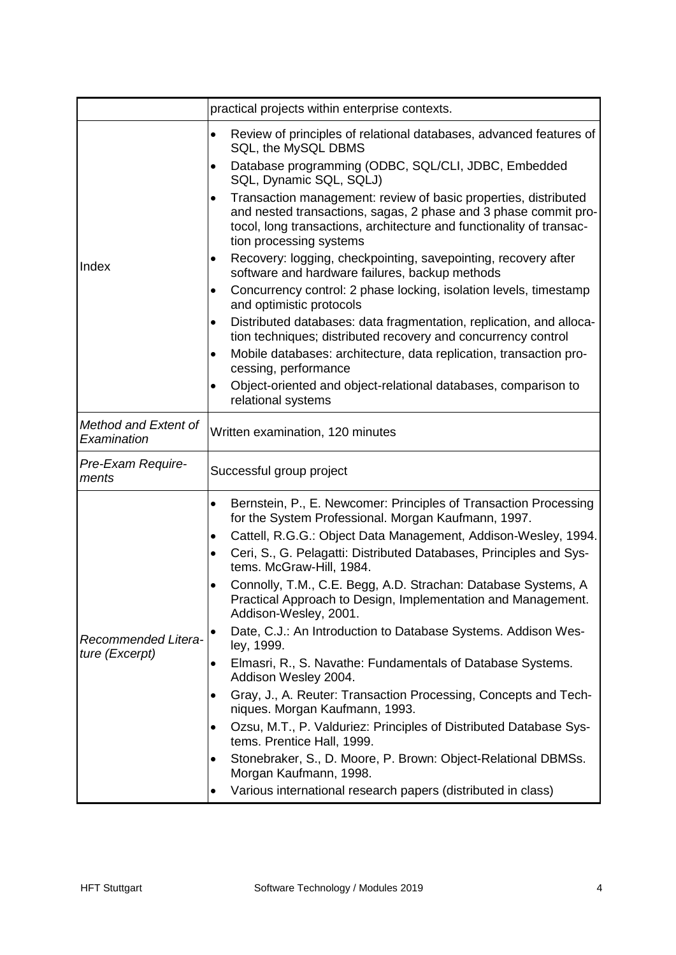|                                     | practical projects within enterprise contexts.                                                                                                                                                                                                     |
|-------------------------------------|----------------------------------------------------------------------------------------------------------------------------------------------------------------------------------------------------------------------------------------------------|
|                                     | Review of principles of relational databases, advanced features of<br>$\bullet$<br>SQL, the MySQL DBMS                                                                                                                                             |
|                                     | Database programming (ODBC, SQL/CLI, JDBC, Embedded<br>$\bullet$<br>SQL, Dynamic SQL, SQLJ)                                                                                                                                                        |
|                                     | Transaction management: review of basic properties, distributed<br>$\bullet$<br>and nested transactions, sagas, 2 phase and 3 phase commit pro-<br>tocol, long transactions, architecture and functionality of transac-<br>tion processing systems |
| Index                               | Recovery: logging, checkpointing, savepointing, recovery after<br>$\bullet$<br>software and hardware failures, backup methods                                                                                                                      |
|                                     | Concurrency control: 2 phase locking, isolation levels, timestamp<br>٠<br>and optimistic protocols                                                                                                                                                 |
|                                     | Distributed databases: data fragmentation, replication, and alloca-<br>$\bullet$<br>tion techniques; distributed recovery and concurrency control                                                                                                  |
|                                     | Mobile databases: architecture, data replication, transaction pro-<br>٠<br>cessing, performance                                                                                                                                                    |
|                                     | Object-oriented and object-relational databases, comparison to<br>$\bullet$<br>relational systems                                                                                                                                                  |
| Method and Extent of<br>Examination | Written examination, 120 minutes                                                                                                                                                                                                                   |
| Pre-Exam Require-<br>ments          | Successful group project                                                                                                                                                                                                                           |
|                                     | Bernstein, P., E. Newcomer: Principles of Transaction Processing<br>$\bullet$<br>for the System Professional. Morgan Kaufmann, 1997.                                                                                                               |
|                                     | Cattell, R.G.G.: Object Data Management, Addison-Wesley, 1994.<br>$\bullet$                                                                                                                                                                        |
|                                     | Ceri, S., G. Pelagatti: Distributed Databases, Principles and Sys-<br>$\bullet$<br>tems. McGraw-Hill, 1984.                                                                                                                                        |
|                                     | Connolly, T.M., C.E. Begg, A.D. Strachan: Database Systems, A<br>$\bullet$<br>Practical Approach to Design, Implementation and Management.<br>Addison-Wesley, 2001.                                                                                |
| Recommended Litera-                 | Date, C.J.: An Introduction to Database Systems. Addison Wes-<br>ley, 1999.                                                                                                                                                                        |
| ture (Excerpt)                      | Elmasri, R., S. Navathe: Fundamentals of Database Systems.<br>$\bullet$<br>Addison Wesley 2004.                                                                                                                                                    |
|                                     | Gray, J., A. Reuter: Transaction Processing, Concepts and Tech-<br>٠<br>niques. Morgan Kaufmann, 1993.                                                                                                                                             |
|                                     | Ozsu, M.T., P. Valduriez: Principles of Distributed Database Sys-<br>٠<br>tems. Prentice Hall, 1999.                                                                                                                                               |
|                                     | Stonebraker, S., D. Moore, P. Brown: Object-Relational DBMSs.<br>$\bullet$<br>Morgan Kaufmann, 1998.                                                                                                                                               |
|                                     | Various international research papers (distributed in class)                                                                                                                                                                                       |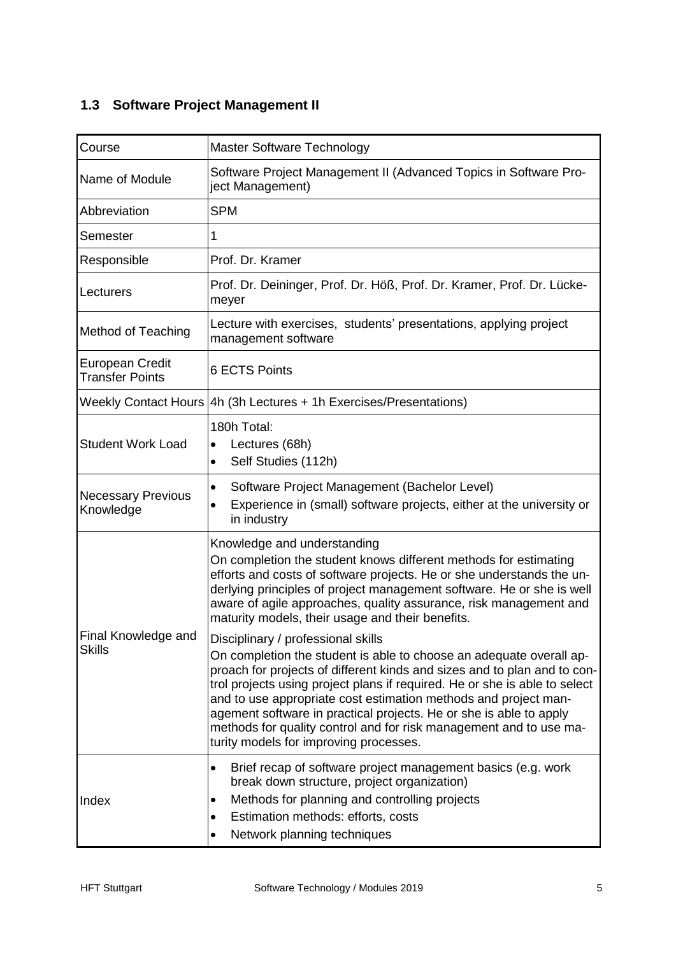# <span id="page-5-0"></span>**1.3 Software Project Management II**

| Course                                           | Master Software Technology                                                                                                                                                                                                                                                                                                                                                                                                                                                                                                   |
|--------------------------------------------------|------------------------------------------------------------------------------------------------------------------------------------------------------------------------------------------------------------------------------------------------------------------------------------------------------------------------------------------------------------------------------------------------------------------------------------------------------------------------------------------------------------------------------|
| Name of Module                                   | Software Project Management II (Advanced Topics in Software Pro-<br>ject Management)                                                                                                                                                                                                                                                                                                                                                                                                                                         |
| Abbreviation                                     | <b>SPM</b>                                                                                                                                                                                                                                                                                                                                                                                                                                                                                                                   |
| Semester                                         | 1                                                                                                                                                                                                                                                                                                                                                                                                                                                                                                                            |
| Responsible                                      | Prof. Dr. Kramer                                                                                                                                                                                                                                                                                                                                                                                                                                                                                                             |
| Lecturers                                        | Prof. Dr. Deininger, Prof. Dr. Höß, Prof. Dr. Kramer, Prof. Dr. Lücke-<br>meyer                                                                                                                                                                                                                                                                                                                                                                                                                                              |
| <b>Method of Teaching</b>                        | Lecture with exercises, students' presentations, applying project<br>management software                                                                                                                                                                                                                                                                                                                                                                                                                                     |
| <b>European Credit</b><br><b>Transfer Points</b> | <b>6 ECTS Points</b>                                                                                                                                                                                                                                                                                                                                                                                                                                                                                                         |
|                                                  | Weekly Contact Hours 4h (3h Lectures + 1h Exercises/Presentations)                                                                                                                                                                                                                                                                                                                                                                                                                                                           |
| <b>Student Work Load</b>                         | 180h Total:<br>Lectures (68h)<br>$\bullet$<br>Self Studies (112h)<br>$\bullet$                                                                                                                                                                                                                                                                                                                                                                                                                                               |
| <b>Necessary Previous</b><br>Knowledge           | Software Project Management (Bachelor Level)<br>$\bullet$<br>Experience in (small) software projects, either at the university or<br>$\bullet$<br>in industry                                                                                                                                                                                                                                                                                                                                                                |
|                                                  | Knowledge and understanding<br>On completion the student knows different methods for estimating<br>efforts and costs of software projects. He or she understands the un-<br>derlying principles of project management software. He or she is well<br>aware of agile approaches, quality assurance, risk management and<br>maturity models, their usage and their benefits.                                                                                                                                                   |
| Final Knowledge and<br><b>Skills</b>             | Disciplinary / professional skills<br>On completion the student is able to choose an adequate overall ap-<br>proach for projects of different kinds and sizes and to plan and to con-<br>trol projects using project plans if required. He or she is able to select<br>and to use appropriate cost estimation methods and project man-<br>agement software in practical projects. He or she is able to apply<br>methods for quality control and for risk management and to use ma-<br>turity models for improving processes. |
| Index                                            | Brief recap of software project management basics (e.g. work<br>$\bullet$<br>break down structure, project organization)<br>Methods for planning and controlling projects<br>$\bullet$<br>Estimation methods: efforts, costs<br>$\bullet$<br>Network planning techniques                                                                                                                                                                                                                                                     |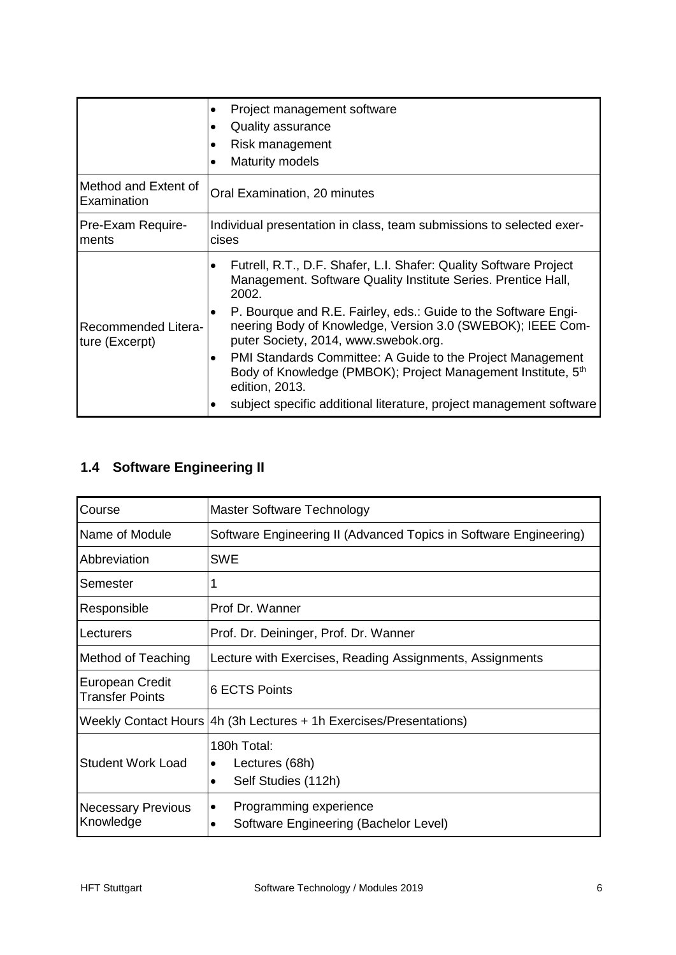|                                       | Project management software<br><b>Quality assurance</b><br>Risk management<br>Maturity models                                                                                                                                                                                                                                                                                                                                                                                                                                                                                         |
|---------------------------------------|---------------------------------------------------------------------------------------------------------------------------------------------------------------------------------------------------------------------------------------------------------------------------------------------------------------------------------------------------------------------------------------------------------------------------------------------------------------------------------------------------------------------------------------------------------------------------------------|
| Method and Extent of<br>Examination   | Oral Examination, 20 minutes                                                                                                                                                                                                                                                                                                                                                                                                                                                                                                                                                          |
| Pre-Exam Require-<br>ments            | Individual presentation in class, team submissions to selected exer-<br>cises                                                                                                                                                                                                                                                                                                                                                                                                                                                                                                         |
| Recommended Litera-<br>ture (Excerpt) | Futrell, R.T., D.F. Shafer, L.I. Shafer: Quality Software Project<br>$\bullet$<br>Management. Software Quality Institute Series. Prentice Hall,<br>2002.<br>P. Bourque and R.E. Fairley, eds.: Guide to the Software Engi-<br>$\bullet$<br>neering Body of Knowledge, Version 3.0 (SWEBOK); IEEE Com-<br>puter Society, 2014, www.swebok.org.<br>PMI Standards Committee: A Guide to the Project Management<br>٠<br>Body of Knowledge (PMBOK); Project Management Institute, 5 <sup>th</sup><br>edition, 2013.<br>subject specific additional literature, project management software |

# <span id="page-6-0"></span>**1.4 Software Engineering II**

| Course                                    | Master Software Technology                                                        |
|-------------------------------------------|-----------------------------------------------------------------------------------|
| Name of Module                            | Software Engineering II (Advanced Topics in Software Engineering)                 |
| Abbreviation                              | <b>SWE</b>                                                                        |
| Semester                                  |                                                                                   |
| Responsible                               | Prof Dr. Wanner                                                                   |
| Lecturers                                 | Prof. Dr. Deininger, Prof. Dr. Wanner                                             |
| Method of Teaching                        | Lecture with Exercises, Reading Assignments, Assignments                          |
| European Credit<br><b>Transfer Points</b> | 6 ECTS Points                                                                     |
|                                           | Weekly Contact Hours 4h (3h Lectures + 1h Exercises/Presentations)                |
| <b>Student Work Load</b>                  | 180h Total:<br>Lectures (68h)<br>٠<br>Self Studies (112h)                         |
| <b>Necessary Previous</b><br>Knowledge    | Programming experience<br>٠<br>Software Engineering (Bachelor Level)<br>$\bullet$ |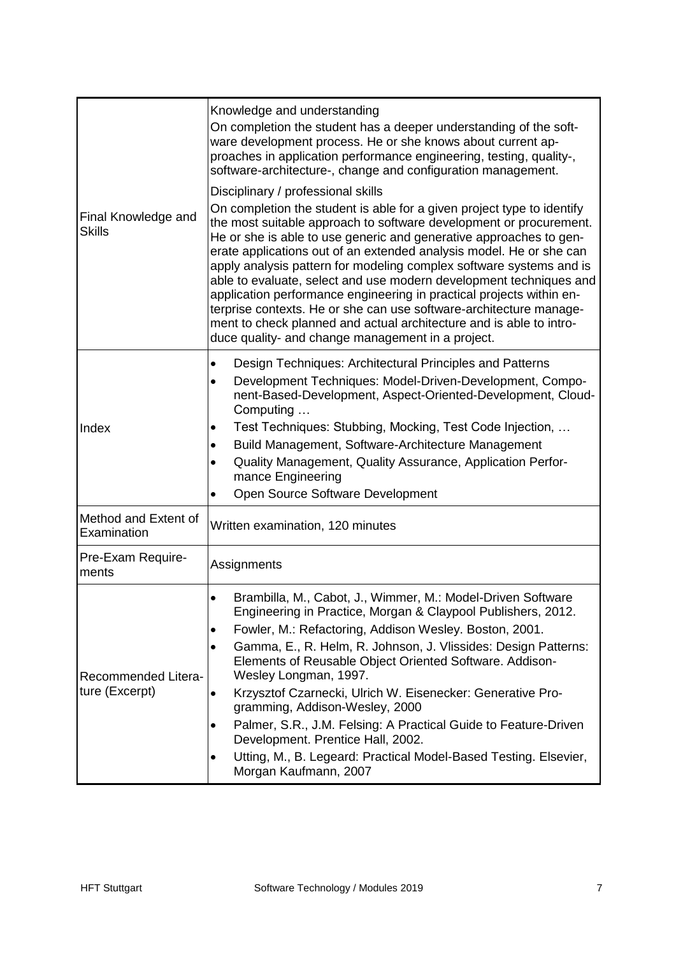| Final Knowledge and<br><b>Skills</b>  | Knowledge and understanding<br>On completion the student has a deeper understanding of the soft-<br>ware development process. He or she knows about current ap-<br>proaches in application performance engineering, testing, quality-,<br>software-architecture-, change and configuration management.<br>Disciplinary / professional skills<br>On completion the student is able for a given project type to identify<br>the most suitable approach to software development or procurement.<br>He or she is able to use generic and generative approaches to gen-<br>erate applications out of an extended analysis model. He or she can<br>apply analysis pattern for modeling complex software systems and is<br>able to evaluate, select and use modern development techniques and<br>application performance engineering in practical projects within en-<br>terprise contexts. He or she can use software-architecture manage-<br>ment to check planned and actual architecture and is able to intro-<br>duce quality- and change management in a project. |
|---------------------------------------|------------------------------------------------------------------------------------------------------------------------------------------------------------------------------------------------------------------------------------------------------------------------------------------------------------------------------------------------------------------------------------------------------------------------------------------------------------------------------------------------------------------------------------------------------------------------------------------------------------------------------------------------------------------------------------------------------------------------------------------------------------------------------------------------------------------------------------------------------------------------------------------------------------------------------------------------------------------------------------------------------------------------------------------------------------------|
| Index                                 | Design Techniques: Architectural Principles and Patterns<br>$\bullet$<br>Development Techniques: Model-Driven-Development, Compo-<br>$\bullet$<br>nent-Based-Development, Aspect-Oriented-Development, Cloud-<br>Computing<br>Test Techniques: Stubbing, Mocking, Test Code Injection,<br>٠<br>Build Management, Software-Architecture Management<br>٠<br>Quality Management, Quality Assurance, Application Perfor-<br>$\bullet$<br>mance Engineering<br>Open Source Software Development<br>$\bullet$                                                                                                                                                                                                                                                                                                                                                                                                                                                                                                                                                          |
| Method and Extent of<br>Examination   | Written examination, 120 minutes                                                                                                                                                                                                                                                                                                                                                                                                                                                                                                                                                                                                                                                                                                                                                                                                                                                                                                                                                                                                                                 |
| Pre-Exam Require-<br>ments            | Assignments                                                                                                                                                                                                                                                                                                                                                                                                                                                                                                                                                                                                                                                                                                                                                                                                                                                                                                                                                                                                                                                      |
| Recommended Litera-<br>ture (Excerpt) | Brambilla, M., Cabot, J., Wimmer, M.: Model-Driven Software<br>٠<br>Engineering in Practice, Morgan & Claypool Publishers, 2012.<br>Fowler, M.: Refactoring, Addison Wesley. Boston, 2001.<br>Gamma, E., R. Helm, R. Johnson, J. Vlissides: Design Patterns:<br>$\bullet$<br>Elements of Reusable Object Oriented Software. Addison-<br>Wesley Longman, 1997.<br>Krzysztof Czarnecki, Ulrich W. Eisenecker: Generative Pro-<br>٠<br>gramming, Addison-Wesley, 2000<br>Palmer, S.R., J.M. Felsing: A Practical Guide to Feature-Driven<br>Development. Prentice Hall, 2002.<br>Utting, M., B. Legeard: Practical Model-Based Testing. Elsevier,<br>$\bullet$<br>Morgan Kaufmann, 2007                                                                                                                                                                                                                                                                                                                                                                             |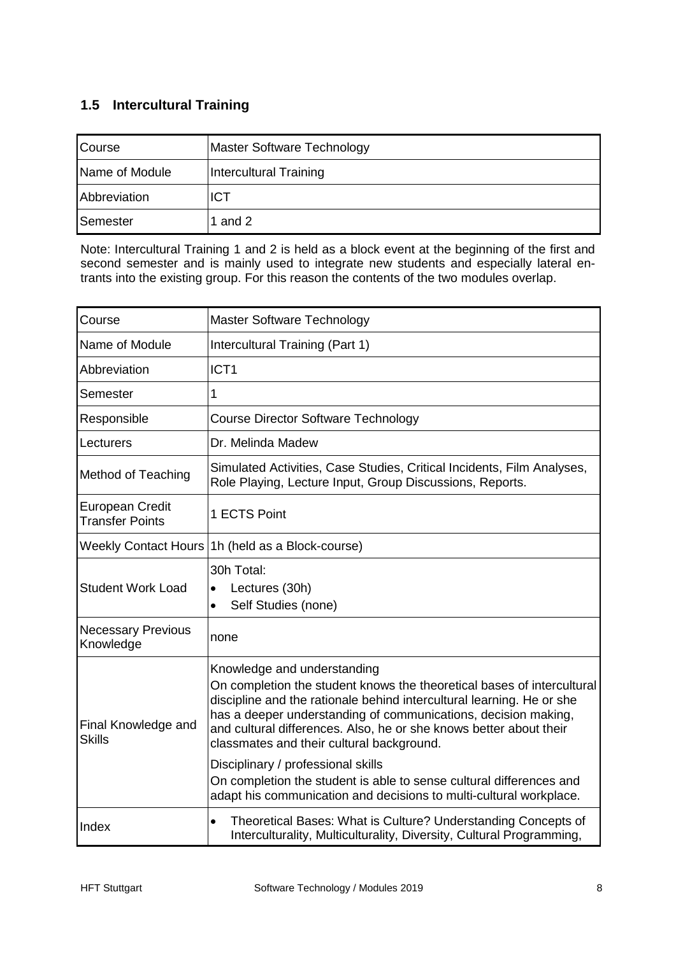### <span id="page-8-0"></span>**1.5 Intercultural Training**

| Course         | Master Software Technology |
|----------------|----------------------------|
| Name of Module | Intercultural Training     |
| Abbreviation   | <b>ICT</b>                 |
| Semester       | 1 and 2                    |

Note: Intercultural Training 1 and 2 is held as a block event at the beginning of the first and second semester and is mainly used to integrate new students and especially lateral entrants into the existing group. For this reason the contents of the two modules overlap.

| Course                                    | Master Software Technology                                                                                                                                                                                                                                                                                                                                                                                                                                                                                                                             |  |  |
|-------------------------------------------|--------------------------------------------------------------------------------------------------------------------------------------------------------------------------------------------------------------------------------------------------------------------------------------------------------------------------------------------------------------------------------------------------------------------------------------------------------------------------------------------------------------------------------------------------------|--|--|
| Name of Module                            | Intercultural Training (Part 1)                                                                                                                                                                                                                                                                                                                                                                                                                                                                                                                        |  |  |
| Abbreviation                              | ICT <sub>1</sub>                                                                                                                                                                                                                                                                                                                                                                                                                                                                                                                                       |  |  |
| Semester                                  | 1                                                                                                                                                                                                                                                                                                                                                                                                                                                                                                                                                      |  |  |
| Responsible                               | <b>Course Director Software Technology</b>                                                                                                                                                                                                                                                                                                                                                                                                                                                                                                             |  |  |
| Lecturers                                 | Dr. Melinda Madew                                                                                                                                                                                                                                                                                                                                                                                                                                                                                                                                      |  |  |
| Method of Teaching                        | Simulated Activities, Case Studies, Critical Incidents, Film Analyses,<br>Role Playing, Lecture Input, Group Discussions, Reports.                                                                                                                                                                                                                                                                                                                                                                                                                     |  |  |
| European Credit<br><b>Transfer Points</b> | 1 ECTS Point                                                                                                                                                                                                                                                                                                                                                                                                                                                                                                                                           |  |  |
| <b>Weekly Contact Hours</b>               | 1h (held as a Block-course)                                                                                                                                                                                                                                                                                                                                                                                                                                                                                                                            |  |  |
| <b>Student Work Load</b>                  | 30h Total:<br>Lectures (30h)<br>$\bullet$<br>Self Studies (none)<br>$\bullet$                                                                                                                                                                                                                                                                                                                                                                                                                                                                          |  |  |
| <b>Necessary Previous</b><br>Knowledge    | none                                                                                                                                                                                                                                                                                                                                                                                                                                                                                                                                                   |  |  |
| Final Knowledge and<br><b>Skills</b>      | Knowledge and understanding<br>On completion the student knows the theoretical bases of intercultural<br>discipline and the rationale behind intercultural learning. He or she<br>has a deeper understanding of communications, decision making,<br>and cultural differences. Also, he or she knows better about their<br>classmates and their cultural background.<br>Disciplinary / professional skills<br>On completion the student is able to sense cultural differences and<br>adapt his communication and decisions to multi-cultural workplace. |  |  |
| Index                                     | Theoretical Bases: What is Culture? Understanding Concepts of<br>$\bullet$<br>Interculturality, Multiculturality, Diversity, Cultural Programming,                                                                                                                                                                                                                                                                                                                                                                                                     |  |  |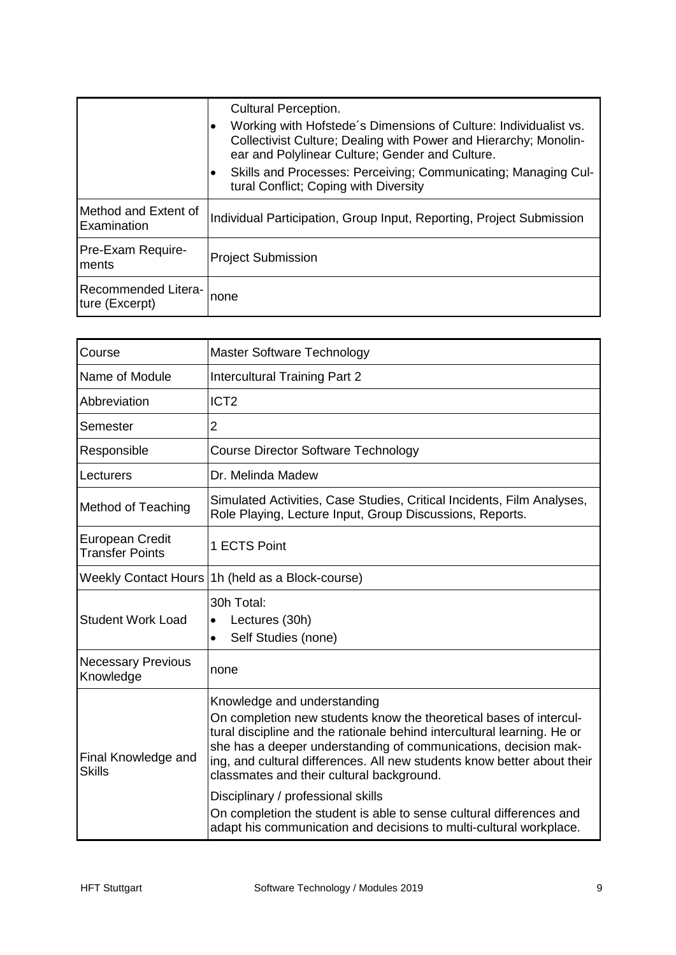|                                       | <b>Cultural Perception.</b><br>Working with Hofstede's Dimensions of Culture: Individualist vs.<br>Collectivist Culture; Dealing with Power and Hierarchy; Monolin-<br>ear and Polylinear Culture; Gender and Culture.<br>Skills and Processes: Perceiving; Communicating; Managing Cul-<br>tural Conflict; Coping with Diversity |
|---------------------------------------|-----------------------------------------------------------------------------------------------------------------------------------------------------------------------------------------------------------------------------------------------------------------------------------------------------------------------------------|
| Method and Extent of<br>Examination   | Individual Participation, Group Input, Reporting, Project Submission                                                                                                                                                                                                                                                              |
| Pre-Exam Require-<br>ments            | <b>Project Submission</b>                                                                                                                                                                                                                                                                                                         |
| Recommended Litera-<br>ture (Excerpt) | none                                                                                                                                                                                                                                                                                                                              |

| Course                                           | Master Software Technology                                                                                                                                                                                                                                                                                                                                                                                                                                                                                                                                 |  |  |  |
|--------------------------------------------------|------------------------------------------------------------------------------------------------------------------------------------------------------------------------------------------------------------------------------------------------------------------------------------------------------------------------------------------------------------------------------------------------------------------------------------------------------------------------------------------------------------------------------------------------------------|--|--|--|
| Name of Module                                   | <b>Intercultural Training Part 2</b>                                                                                                                                                                                                                                                                                                                                                                                                                                                                                                                       |  |  |  |
| Abbreviation                                     | ICT <sub>2</sub>                                                                                                                                                                                                                                                                                                                                                                                                                                                                                                                                           |  |  |  |
| Semester                                         | $\overline{2}$                                                                                                                                                                                                                                                                                                                                                                                                                                                                                                                                             |  |  |  |
| Responsible                                      | <b>Course Director Software Technology</b>                                                                                                                                                                                                                                                                                                                                                                                                                                                                                                                 |  |  |  |
| Lecturers                                        | Dr. Melinda Madew                                                                                                                                                                                                                                                                                                                                                                                                                                                                                                                                          |  |  |  |
| <b>Method of Teaching</b>                        | Simulated Activities, Case Studies, Critical Incidents, Film Analyses,<br>Role Playing, Lecture Input, Group Discussions, Reports.                                                                                                                                                                                                                                                                                                                                                                                                                         |  |  |  |
| <b>European Credit</b><br><b>Transfer Points</b> | 1 ECTS Point                                                                                                                                                                                                                                                                                                                                                                                                                                                                                                                                               |  |  |  |
|                                                  | Weekly Contact Hours   1h (held as a Block-course)                                                                                                                                                                                                                                                                                                                                                                                                                                                                                                         |  |  |  |
| <b>Student Work Load</b>                         | 30h Total:<br>Lectures (30h)<br>$\bullet$<br>Self Studies (none)<br>$\bullet$                                                                                                                                                                                                                                                                                                                                                                                                                                                                              |  |  |  |
| <b>Necessary Previous</b><br>Knowledge           | none                                                                                                                                                                                                                                                                                                                                                                                                                                                                                                                                                       |  |  |  |
| Final Knowledge and<br><b>Skills</b>             | Knowledge and understanding<br>On completion new students know the theoretical bases of intercul-<br>tural discipline and the rationale behind intercultural learning. He or<br>she has a deeper understanding of communications, decision mak-<br>ing, and cultural differences. All new students know better about their<br>classmates and their cultural background.<br>Disciplinary / professional skills<br>On completion the student is able to sense cultural differences and<br>adapt his communication and decisions to multi-cultural workplace. |  |  |  |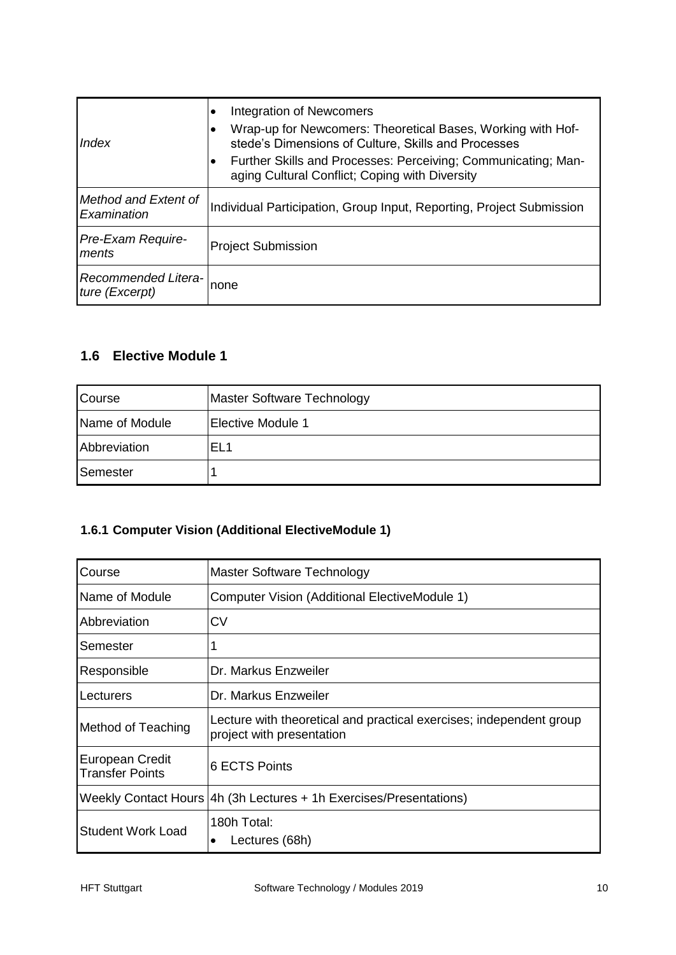| Index                                 | Integration of Newcomers<br>Wrap-up for Newcomers: Theoretical Bases, Working with Hof-<br>٠<br>stede's Dimensions of Culture, Skills and Processes<br>Further Skills and Processes: Perceiving; Communicating; Man-<br>aging Cultural Conflict; Coping with Diversity |  |
|---------------------------------------|------------------------------------------------------------------------------------------------------------------------------------------------------------------------------------------------------------------------------------------------------------------------|--|
| Method and Extent of<br>Examination   | Individual Participation, Group Input, Reporting, Project Submission                                                                                                                                                                                                   |  |
| <b>Pre-Exam Require-</b><br>ments     | <b>Project Submission</b>                                                                                                                                                                                                                                              |  |
| Recommended Litera-<br>ture (Excerpt) | none                                                                                                                                                                                                                                                                   |  |

#### <span id="page-10-0"></span>**1.6 Elective Module 1**

| Course         | Master Software Technology |
|----------------|----------------------------|
| Name of Module | <b>Elective Module 1</b>   |
| Abbreviation   | EL <sub>1</sub>            |
| Semester       |                            |

#### <span id="page-10-1"></span>**1.6.1 Computer Vision (Additional ElectiveModule 1)**

| Course                                    | Master Software Technology                                                                       |  |
|-------------------------------------------|--------------------------------------------------------------------------------------------------|--|
| Name of Module                            | Computer Vision (Additional ElectiveModule 1)                                                    |  |
| Abbreviation                              | CV                                                                                               |  |
| Semester                                  |                                                                                                  |  |
| Responsible                               | Dr. Markus Enzweiler                                                                             |  |
| Lecturers                                 | Dr. Markus Enzweiler                                                                             |  |
| Method of Teaching                        | Lecture with theoretical and practical exercises; independent group<br>project with presentation |  |
| European Credit<br><b>Transfer Points</b> | <b>6 ECTS Points</b>                                                                             |  |
|                                           | Weekly Contact Hours 4h (3h Lectures + 1h Exercises/Presentations)                               |  |
| <b>Student Work Load</b>                  | 180h Total:<br>Lectures (68h)                                                                    |  |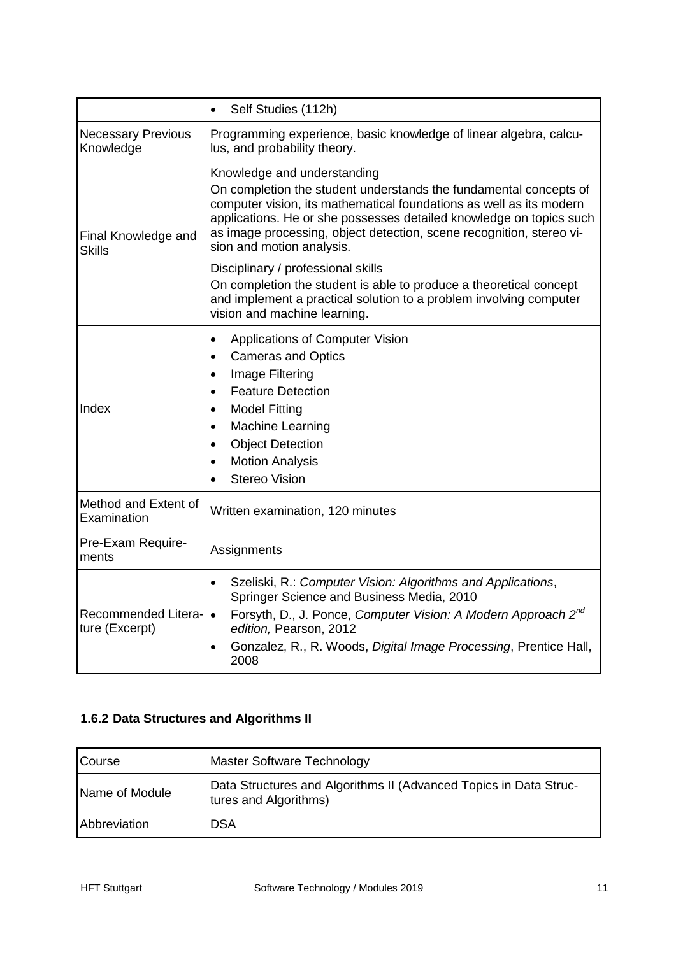|                                        | Self Studies (112h)<br>$\bullet$                                                                                                                                                                                                                                                                                                                    |  |
|----------------------------------------|-----------------------------------------------------------------------------------------------------------------------------------------------------------------------------------------------------------------------------------------------------------------------------------------------------------------------------------------------------|--|
| <b>Necessary Previous</b><br>Knowledge | Programming experience, basic knowledge of linear algebra, calcu-<br>lus, and probability theory.                                                                                                                                                                                                                                                   |  |
| Final Knowledge and<br><b>Skills</b>   | Knowledge and understanding<br>On completion the student understands the fundamental concepts of<br>computer vision, its mathematical foundations as well as its modern<br>applications. He or she possesses detailed knowledge on topics such<br>as image processing, object detection, scene recognition, stereo vi-<br>sion and motion analysis. |  |
|                                        | Disciplinary / professional skills<br>On completion the student is able to produce a theoretical concept<br>and implement a practical solution to a problem involving computer<br>vision and machine learning.                                                                                                                                      |  |
| Index                                  | Applications of Computer Vision<br>$\bullet$<br><b>Cameras and Optics</b><br>$\bullet$<br>Image Filtering<br>٠<br><b>Feature Detection</b><br>$\bullet$<br><b>Model Fitting</b><br>$\bullet$<br>Machine Learning<br>$\bullet$<br><b>Object Detection</b><br>$\bullet$<br><b>Motion Analysis</b><br>$\bullet$<br><b>Stereo Vision</b><br>$\bullet$   |  |
| Method and Extent of<br>Examination    | Written examination, 120 minutes                                                                                                                                                                                                                                                                                                                    |  |
| Pre-Exam Require-<br>ments             | Assignments                                                                                                                                                                                                                                                                                                                                         |  |
| Recommended Litera-<br>ture (Excerpt)  | Szeliski, R.: Computer Vision: Algorithms and Applications,<br>$\bullet$<br>Springer Science and Business Media, 2010<br>Forsyth, D., J. Ponce, Computer Vision: A Modern Approach 2 <sup>nd</sup><br>$\bullet$<br>edition, Pearson, 2012<br>Gonzalez, R., R. Woods, Digital Image Processing, Prentice Hall,<br>$\bullet$<br>2008                  |  |

#### <span id="page-11-0"></span>**1.6.2 Data Structures and Algorithms II**

| Course         | <b>Master Software Technology</b>                                                          |
|----------------|--------------------------------------------------------------------------------------------|
| Name of Module | Data Structures and Algorithms II (Advanced Topics in Data Struc-<br>tures and Algorithms) |
| Abbreviation   | <b>DSA</b>                                                                                 |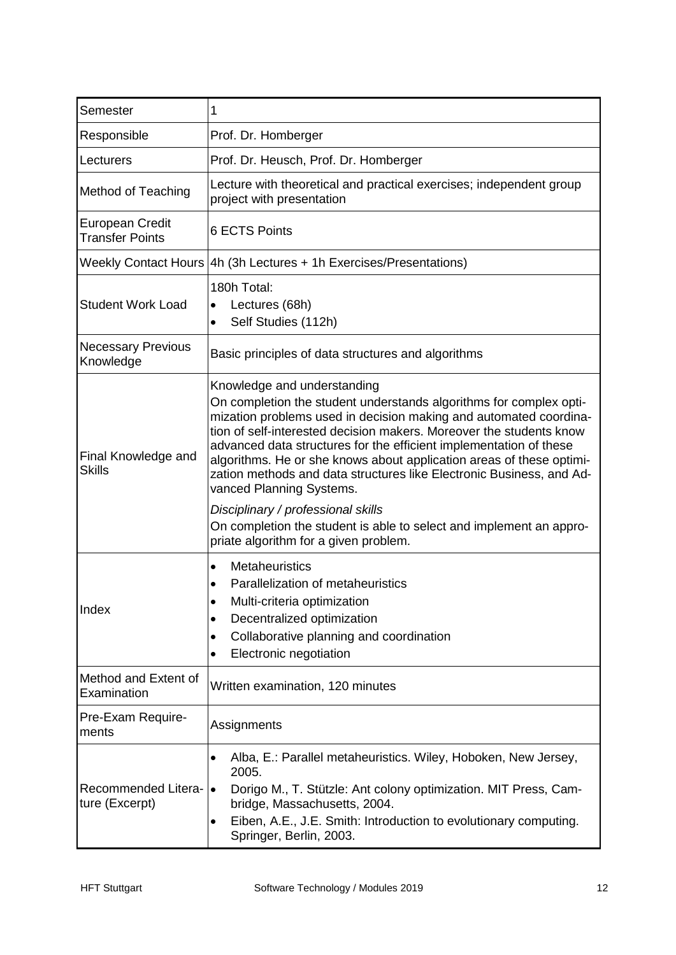| Semester                                  | 1                                                                                                                                                                                                                                                                                                                                                                                                                                                                                                                                                                                                            |  |  |  |
|-------------------------------------------|--------------------------------------------------------------------------------------------------------------------------------------------------------------------------------------------------------------------------------------------------------------------------------------------------------------------------------------------------------------------------------------------------------------------------------------------------------------------------------------------------------------------------------------------------------------------------------------------------------------|--|--|--|
| Responsible                               | Prof. Dr. Homberger                                                                                                                                                                                                                                                                                                                                                                                                                                                                                                                                                                                          |  |  |  |
| Lecturers                                 | Prof. Dr. Heusch, Prof. Dr. Homberger                                                                                                                                                                                                                                                                                                                                                                                                                                                                                                                                                                        |  |  |  |
| <b>Method of Teaching</b>                 | Lecture with theoretical and practical exercises; independent group<br>project with presentation                                                                                                                                                                                                                                                                                                                                                                                                                                                                                                             |  |  |  |
| European Credit<br><b>Transfer Points</b> | <b>6 ECTS Points</b>                                                                                                                                                                                                                                                                                                                                                                                                                                                                                                                                                                                         |  |  |  |
|                                           | Weekly Contact Hours   4h (3h Lectures + 1h Exercises/Presentations)                                                                                                                                                                                                                                                                                                                                                                                                                                                                                                                                         |  |  |  |
| <b>Student Work Load</b>                  | 180h Total:<br>Lectures (68h)<br>$\bullet$<br>Self Studies (112h)<br>$\bullet$                                                                                                                                                                                                                                                                                                                                                                                                                                                                                                                               |  |  |  |
| <b>Necessary Previous</b><br>Knowledge    | Basic principles of data structures and algorithms                                                                                                                                                                                                                                                                                                                                                                                                                                                                                                                                                           |  |  |  |
| Final Knowledge and<br><b>Skills</b>      | Knowledge and understanding<br>On completion the student understands algorithms for complex opti-<br>mization problems used in decision making and automated coordina-<br>tion of self-interested decision makers. Moreover the students know<br>advanced data structures for the efficient implementation of these<br>algorithms. He or she knows about application areas of these optimi-<br>zation methods and data structures like Electronic Business, and Ad-<br>vanced Planning Systems.<br>Disciplinary / professional skills<br>On completion the student is able to select and implement an appro- |  |  |  |
| Index                                     | priate algorithm for a given problem.<br>Metaheuristics<br>$\bullet$<br>Parallelization of metaheuristics<br>Multi-criteria optimization<br>٠<br>Decentralized optimization<br>$\bullet$<br>Collaborative planning and coordination<br>$\bullet$<br>Electronic negotiation<br>$\bullet$                                                                                                                                                                                                                                                                                                                      |  |  |  |
| Method and Extent of<br>Examination       | Written examination, 120 minutes                                                                                                                                                                                                                                                                                                                                                                                                                                                                                                                                                                             |  |  |  |
| Pre-Exam Require-<br>ments                | Assignments                                                                                                                                                                                                                                                                                                                                                                                                                                                                                                                                                                                                  |  |  |  |
| Recommended Litera-<br>ture (Excerpt)     | Alba, E.: Parallel metaheuristics. Wiley, Hoboken, New Jersey,<br>$\bullet$<br>2005.<br>Dorigo M., T. Stützle: Ant colony optimization. MIT Press, Cam-<br>bridge, Massachusetts, 2004.<br>Eiben, A.E., J.E. Smith: Introduction to evolutionary computing.<br>$\bullet$<br>Springer, Berlin, 2003.                                                                                                                                                                                                                                                                                                          |  |  |  |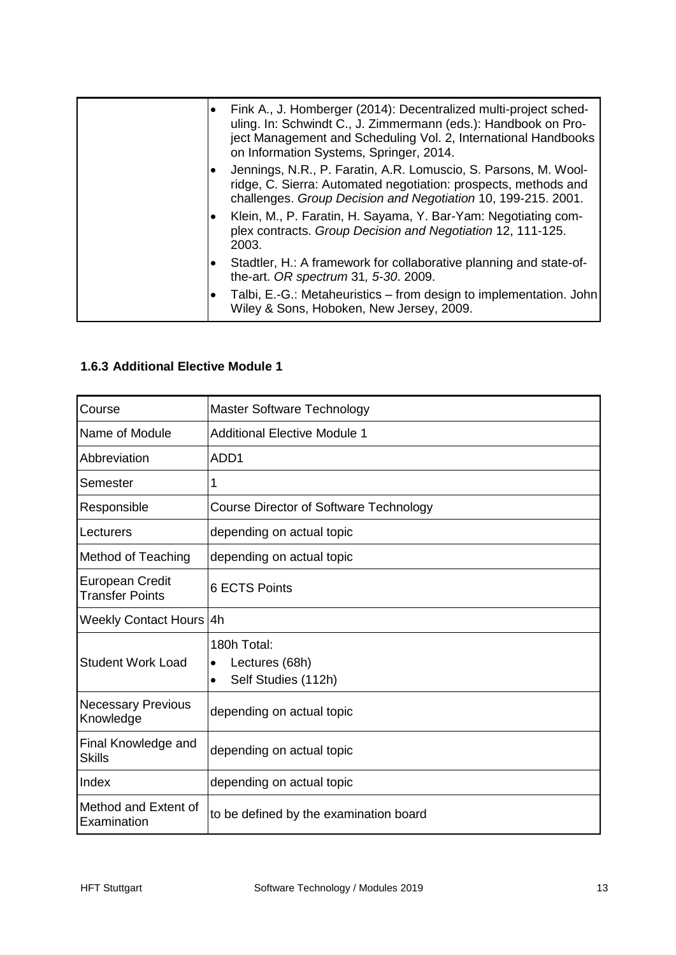| $\bullet$ | Fink A., J. Homberger (2014): Decentralized multi-project sched-<br>uling. In: Schwindt C., J. Zimmermann (eds.): Handbook on Pro-<br>ject Management and Scheduling Vol. 2, International Handbooks<br>on Information Systems, Springer, 2014. |
|-----------|-------------------------------------------------------------------------------------------------------------------------------------------------------------------------------------------------------------------------------------------------|
| ٠         | Jennings, N.R., P. Faratin, A.R. Lomuscio, S. Parsons, M. Wool-<br>ridge, C. Sierra: Automated negotiation: prospects, methods and<br>challenges. Group Decision and Negotiation 10, 199-215. 2001.                                             |
| $\bullet$ | Klein, M., P. Faratin, H. Sayama, Y. Bar-Yam: Negotiating com-<br>plex contracts. Group Decision and Negotiation 12, 111-125.<br>2003.                                                                                                          |
| ٠         | Stadtler, H.: A framework for collaborative planning and state-of-<br>the-art. OR spectrum 31, 5-30. 2009.                                                                                                                                      |
| $\bullet$ | Talbi, E.-G.: Metaheuristics – from design to implementation. John<br>Wiley & Sons, Hoboken, New Jersey, 2009.                                                                                                                                  |

#### <span id="page-13-0"></span>**1.6.3 Additional Elective Module 1**

| Course                                           | Master Software Technology                                                     |  |  |
|--------------------------------------------------|--------------------------------------------------------------------------------|--|--|
| Name of Module                                   | <b>Additional Elective Module 1</b>                                            |  |  |
| Abbreviation                                     | ADD <sub>1</sub>                                                               |  |  |
| Semester                                         | 1                                                                              |  |  |
| Responsible                                      | Course Director of Software Technology                                         |  |  |
| Lecturers                                        | depending on actual topic                                                      |  |  |
| Method of Teaching                               | depending on actual topic                                                      |  |  |
| <b>European Credit</b><br><b>Transfer Points</b> | <b>6 ECTS Points</b>                                                           |  |  |
| Weekly Contact Hours 4h                          |                                                                                |  |  |
| <b>Student Work Load</b>                         | 180h Total:<br>Lectures (68h)<br>$\bullet$<br>Self Studies (112h)<br>$\bullet$ |  |  |
| <b>Necessary Previous</b><br>Knowledge           | depending on actual topic                                                      |  |  |
| Final Knowledge and<br><b>Skills</b>             | depending on actual topic                                                      |  |  |
| Index                                            | depending on actual topic                                                      |  |  |
| Method and Extent of<br>Examination              | to be defined by the examination board                                         |  |  |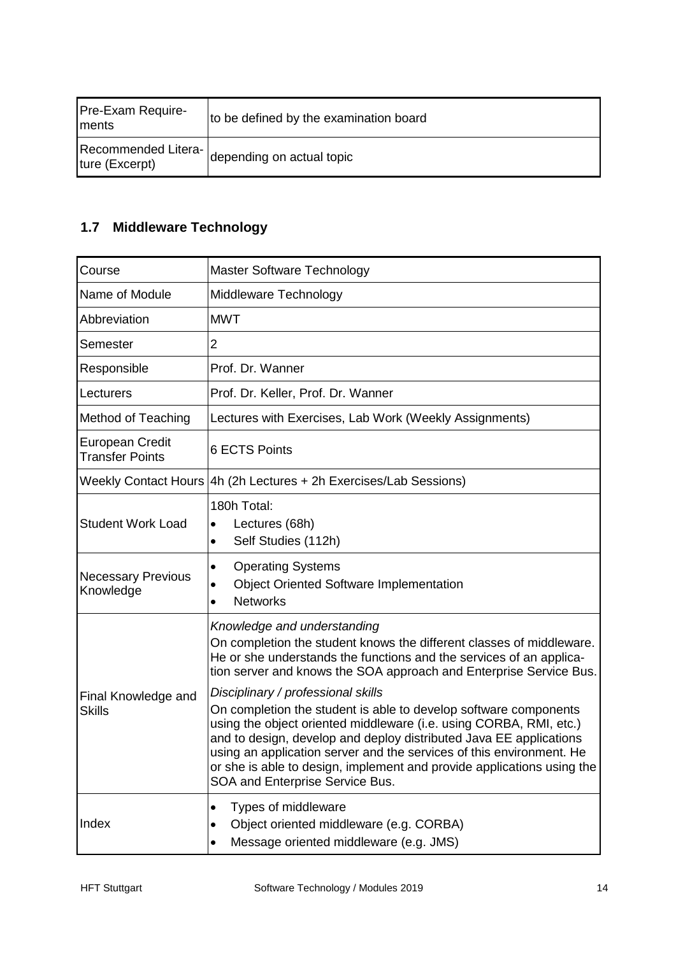| Pre-Exam Require-<br><b>Iments</b>    | to be defined by the examination board |
|---------------------------------------|----------------------------------------|
| Recommended Litera-<br>ture (Excerpt) | Idepending on actual topic             |

# <span id="page-14-0"></span>**1.7 Middleware Technology**

| Course                                           | Master Software Technology                                                                                                                                                                                                                                                                                                                                                                        |
|--------------------------------------------------|---------------------------------------------------------------------------------------------------------------------------------------------------------------------------------------------------------------------------------------------------------------------------------------------------------------------------------------------------------------------------------------------------|
| Name of Module                                   | Middleware Technology                                                                                                                                                                                                                                                                                                                                                                             |
| Abbreviation                                     | <b>MWT</b>                                                                                                                                                                                                                                                                                                                                                                                        |
| Semester                                         | 2                                                                                                                                                                                                                                                                                                                                                                                                 |
| Responsible                                      | Prof. Dr. Wanner                                                                                                                                                                                                                                                                                                                                                                                  |
| Lecturers                                        | Prof. Dr. Keller, Prof. Dr. Wanner                                                                                                                                                                                                                                                                                                                                                                |
| <b>Method of Teaching</b>                        | Lectures with Exercises, Lab Work (Weekly Assignments)                                                                                                                                                                                                                                                                                                                                            |
| <b>European Credit</b><br><b>Transfer Points</b> | <b>6 ECTS Points</b>                                                                                                                                                                                                                                                                                                                                                                              |
|                                                  | Weekly Contact Hours   4h (2h Lectures + 2h Exercises/Lab Sessions)                                                                                                                                                                                                                                                                                                                               |
| <b>Student Work Load</b>                         | 180h Total:<br>Lectures (68h)<br>$\bullet$<br>Self Studies (112h)<br>$\bullet$                                                                                                                                                                                                                                                                                                                    |
| <b>Necessary Previous</b><br>Knowledge           | <b>Operating Systems</b><br>٠<br><b>Object Oriented Software Implementation</b><br>$\bullet$<br><b>Networks</b><br>$\bullet$                                                                                                                                                                                                                                                                      |
| Final Knowledge and<br><b>Skills</b>             | Knowledge and understanding<br>On completion the student knows the different classes of middleware.<br>He or she understands the functions and the services of an applica-<br>tion server and knows the SOA approach and Enterprise Service Bus.<br>Disciplinary / professional skills                                                                                                            |
|                                                  | On completion the student is able to develop software components<br>using the object oriented middleware (i.e. using CORBA, RMI, etc.)<br>and to design, develop and deploy distributed Java EE applications<br>using an application server and the services of this environment. He<br>or she is able to design, implement and provide applications using the<br>SOA and Enterprise Service Bus. |
| Index                                            | Types of middleware<br>Object oriented middleware (e.g. CORBA)<br>Message oriented middleware (e.g. JMS)                                                                                                                                                                                                                                                                                          |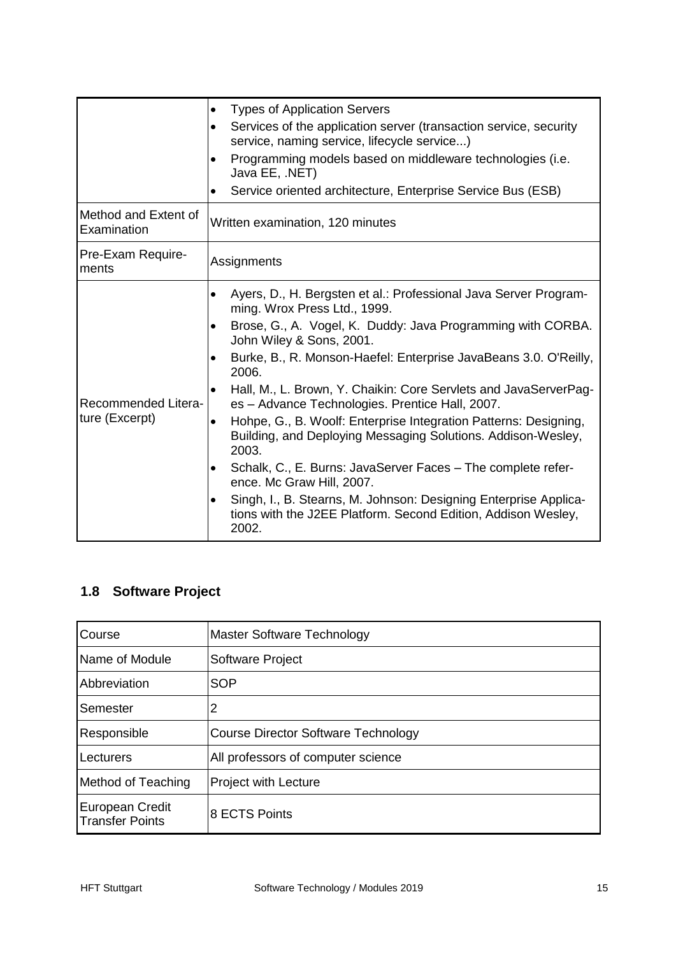|                                       | <b>Types of Application Servers</b><br>$\bullet$                                                                                                |
|---------------------------------------|-------------------------------------------------------------------------------------------------------------------------------------------------|
|                                       | Services of the application server (transaction service, security<br>$\bullet$<br>service, naming service, lifecycle service)                   |
|                                       | Programming models based on middleware technologies (i.e.<br>Java EE, .NET)                                                                     |
|                                       | Service oriented architecture, Enterprise Service Bus (ESB)                                                                                     |
| Method and Extent of<br>Examination   | Written examination, 120 minutes                                                                                                                |
| Pre-Exam Require-<br>ments            | Assignments                                                                                                                                     |
|                                       | Ayers, D., H. Bergsten et al.: Professional Java Server Program-<br>$\bullet$<br>ming. Wrox Press Ltd., 1999.                                   |
|                                       | Brose, G., A. Vogel, K. Duddy: Java Programming with CORBA.<br>John Wiley & Sons, 2001.                                                         |
|                                       | Burke, B., R. Monson-Haefel: Enterprise JavaBeans 3.0. O'Reilly,<br>2006.                                                                       |
| Recommended Litera-<br>ture (Excerpt) | Hall, M., L. Brown, Y. Chaikin: Core Servlets and JavaServerPag-<br>$\bullet$<br>es - Advance Technologies. Prentice Hall, 2007.                |
|                                       | Hohpe, G., B. Woolf: Enterprise Integration Patterns: Designing,<br>Building, and Deploying Messaging Solutions. Addison-Wesley,<br>2003.       |
|                                       | Schalk, C., E. Burns: JavaServer Faces - The complete refer-<br>$\bullet$<br>ence. Mc Graw Hill, 2007.                                          |
|                                       | Singh, I., B. Stearns, M. Johnson: Designing Enterprise Applica-<br>٠<br>tions with the J2EE Platform. Second Edition, Addison Wesley,<br>2002. |

### <span id="page-15-0"></span>**1.8 Software Project**

| Course                                    | Master Software Technology                 |
|-------------------------------------------|--------------------------------------------|
| Name of Module                            | Software Project                           |
| Abbreviation                              | <b>SOP</b>                                 |
| Semester                                  | 2                                          |
| Responsible                               | <b>Course Director Software Technology</b> |
| Lecturers                                 | All professors of computer science         |
| Method of Teaching                        | <b>Project with Lecture</b>                |
| European Credit<br><b>Transfer Points</b> | 8 ECTS Points                              |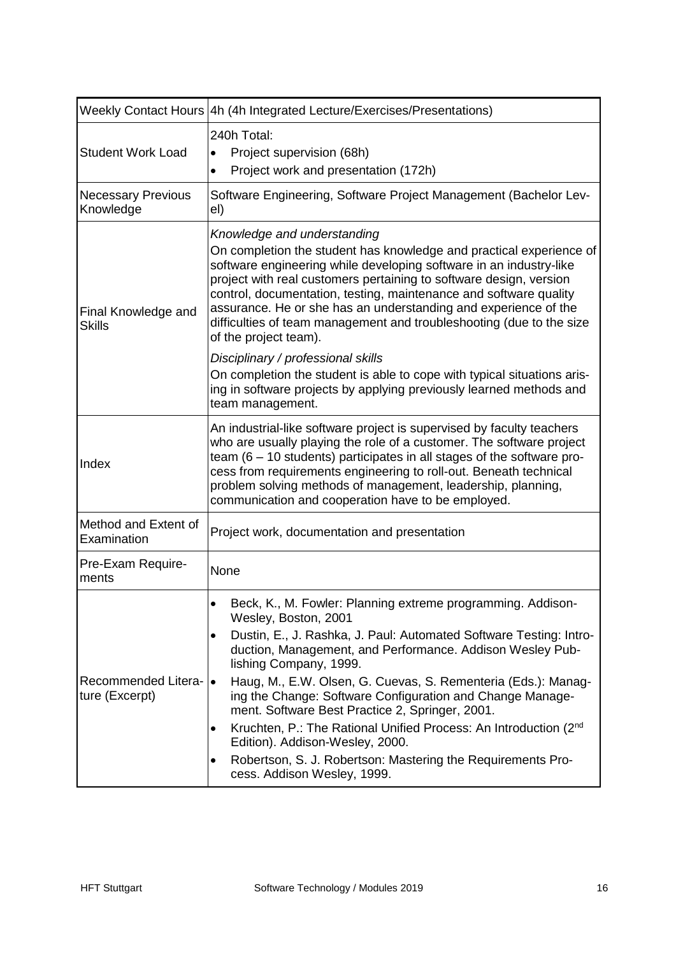|                                        | Weekly Contact Hours   4h (4h Integrated Lecture/Exercises/Presentations)                                                                                                                                                                                                                                                                                                                                                                                                                                                                                                                                                                                                      |  |
|----------------------------------------|--------------------------------------------------------------------------------------------------------------------------------------------------------------------------------------------------------------------------------------------------------------------------------------------------------------------------------------------------------------------------------------------------------------------------------------------------------------------------------------------------------------------------------------------------------------------------------------------------------------------------------------------------------------------------------|--|
| <b>Student Work Load</b>               | 240h Total:<br>Project supervision (68h)<br>$\bullet$<br>Project work and presentation (172h)<br>$\bullet$                                                                                                                                                                                                                                                                                                                                                                                                                                                                                                                                                                     |  |
| <b>Necessary Previous</b><br>Knowledge | Software Engineering, Software Project Management (Bachelor Lev-<br>el)                                                                                                                                                                                                                                                                                                                                                                                                                                                                                                                                                                                                        |  |
| Final Knowledge and<br><b>Skills</b>   | Knowledge and understanding<br>On completion the student has knowledge and practical experience of<br>software engineering while developing software in an industry-like<br>project with real customers pertaining to software design, version<br>control, documentation, testing, maintenance and software quality<br>assurance. He or she has an understanding and experience of the<br>difficulties of team management and troubleshooting (due to the size<br>of the project team).                                                                                                                                                                                        |  |
|                                        | Disciplinary / professional skills<br>On completion the student is able to cope with typical situations aris-<br>ing in software projects by applying previously learned methods and<br>team management.                                                                                                                                                                                                                                                                                                                                                                                                                                                                       |  |
| Index                                  | An industrial-like software project is supervised by faculty teachers<br>who are usually playing the role of a customer. The software project<br>team $(6 - 10$ students) participates in all stages of the software pro-<br>cess from requirements engineering to roll-out. Beneath technical<br>problem solving methods of management, leadership, planning,<br>communication and cooperation have to be employed.                                                                                                                                                                                                                                                           |  |
| Method and Extent of<br>Examination    | Project work, documentation and presentation                                                                                                                                                                                                                                                                                                                                                                                                                                                                                                                                                                                                                                   |  |
| Pre-Exam Require-<br>ments             | None                                                                                                                                                                                                                                                                                                                                                                                                                                                                                                                                                                                                                                                                           |  |
| Recommended Litera-<br>ture (Excerpt)  | Beck, K., M. Fowler: Planning extreme programming. Addison-<br>Wesley, Boston, 2001<br>Dustin, E., J. Rashka, J. Paul: Automated Software Testing: Intro-<br>$\bullet$<br>duction, Management, and Performance. Addison Wesley Pub-<br>lishing Company, 1999.<br>Haug, M., E.W. Olsen, G. Cuevas, S. Rementeria (Eds.): Manag-<br>$\bullet$<br>ing the Change: Software Configuration and Change Manage-<br>ment. Software Best Practice 2, Springer, 2001.<br>Kruchten, P.: The Rational Unified Process: An Introduction (2nd)<br>Edition). Addison-Wesley, 2000.<br>Robertson, S. J. Robertson: Mastering the Requirements Pro-<br>$\bullet$<br>cess. Addison Wesley, 1999. |  |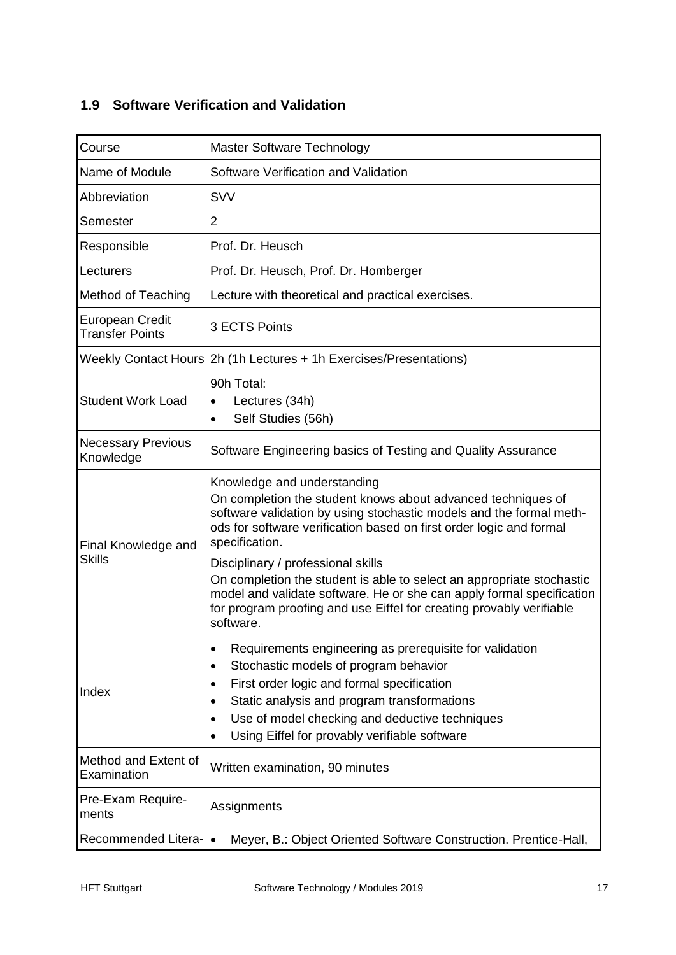### <span id="page-17-0"></span>**1.9 Software Verification and Validation**

| Course                                           | Master Software Technology                                                                                                                                                                                                                                                                                                                                                 |  |
|--------------------------------------------------|----------------------------------------------------------------------------------------------------------------------------------------------------------------------------------------------------------------------------------------------------------------------------------------------------------------------------------------------------------------------------|--|
| Name of Module                                   | Software Verification and Validation                                                                                                                                                                                                                                                                                                                                       |  |
| Abbreviation                                     | <b>SVV</b>                                                                                                                                                                                                                                                                                                                                                                 |  |
| Semester                                         | $\overline{2}$                                                                                                                                                                                                                                                                                                                                                             |  |
| Responsible                                      | Prof. Dr. Heusch                                                                                                                                                                                                                                                                                                                                                           |  |
| Lecturers                                        | Prof. Dr. Heusch, Prof. Dr. Homberger                                                                                                                                                                                                                                                                                                                                      |  |
| <b>Method of Teaching</b>                        | Lecture with theoretical and practical exercises.                                                                                                                                                                                                                                                                                                                          |  |
| <b>European Credit</b><br><b>Transfer Points</b> | 3 ECTS Points                                                                                                                                                                                                                                                                                                                                                              |  |
|                                                  | Weekly Contact Hours 2h (1h Lectures + 1h Exercises/Presentations)                                                                                                                                                                                                                                                                                                         |  |
| <b>Student Work Load</b>                         | 90h Total:<br>Lectures (34h)<br>$\bullet$<br>Self Studies (56h)<br>$\bullet$                                                                                                                                                                                                                                                                                               |  |
| <b>Necessary Previous</b><br>Knowledge           | Software Engineering basics of Testing and Quality Assurance                                                                                                                                                                                                                                                                                                               |  |
| Final Knowledge and<br><b>Skills</b>             | Knowledge and understanding<br>On completion the student knows about advanced techniques of<br>software validation by using stochastic models and the formal meth-<br>ods for software verification based on first order logic and formal<br>specification.<br>Disciplinary / professional skills<br>On completion the student is able to select an appropriate stochastic |  |
|                                                  | model and validate software. He or she can apply formal specification<br>for program proofing and use Eiffel for creating provably verifiable<br>software.                                                                                                                                                                                                                 |  |
| Index                                            | Requirements engineering as prerequisite for validation<br>$\bullet$<br>Stochastic models of program behavior<br>First order logic and formal specification<br>$\bullet$<br>Static analysis and program transformations<br>$\bullet$<br>Use of model checking and deductive techniques<br>Using Eiffel for provably verifiable software<br>$\bullet$                       |  |
| Method and Extent of<br>Examination              | Written examination, 90 minutes                                                                                                                                                                                                                                                                                                                                            |  |
| Pre-Exam Require-<br>ments                       | Assignments                                                                                                                                                                                                                                                                                                                                                                |  |
| Recommended Litera-                              | Meyer, B.: Object Oriented Software Construction. Prentice-Hall,<br>$\bullet$                                                                                                                                                                                                                                                                                              |  |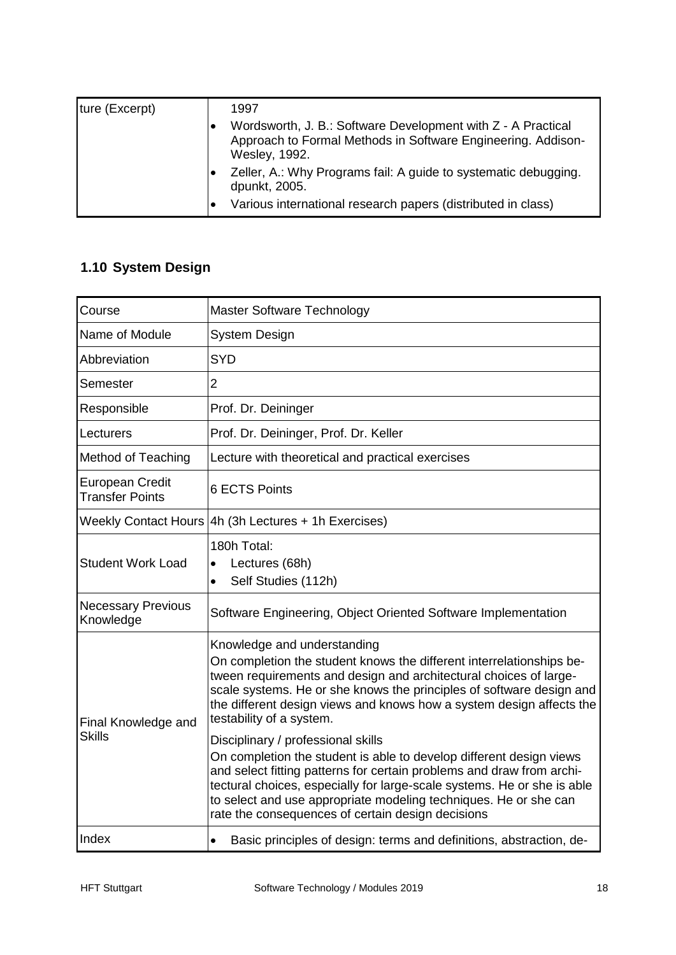| ture (Excerpt) |           | 1997                                                                                                                                          |
|----------------|-----------|-----------------------------------------------------------------------------------------------------------------------------------------------|
|                |           | Wordsworth, J. B.: Software Development with Z - A Practical<br>Approach to Formal Methods in Software Engineering. Addison-<br>Wesley, 1992. |
|                |           | Zeller, A.: Why Programs fail: A guide to systematic debugging.<br>dpunkt, 2005.                                                              |
|                | $\bullet$ | Various international research papers (distributed in class)                                                                                  |

# <span id="page-18-0"></span>**1.10 System Design**

| Course                                           | Master Software Technology                                                                                                                                                                                                                                                                                                                                                             |
|--------------------------------------------------|----------------------------------------------------------------------------------------------------------------------------------------------------------------------------------------------------------------------------------------------------------------------------------------------------------------------------------------------------------------------------------------|
| Name of Module                                   | <b>System Design</b>                                                                                                                                                                                                                                                                                                                                                                   |
| Abbreviation                                     | <b>SYD</b>                                                                                                                                                                                                                                                                                                                                                                             |
| Semester                                         | $\overline{2}$                                                                                                                                                                                                                                                                                                                                                                         |
| Responsible                                      | Prof. Dr. Deininger                                                                                                                                                                                                                                                                                                                                                                    |
| Lecturers                                        | Prof. Dr. Deininger, Prof. Dr. Keller                                                                                                                                                                                                                                                                                                                                                  |
| <b>Method of Teaching</b>                        | Lecture with theoretical and practical exercises                                                                                                                                                                                                                                                                                                                                       |
| <b>European Credit</b><br><b>Transfer Points</b> | <b>6 ECTS Points</b>                                                                                                                                                                                                                                                                                                                                                                   |
|                                                  | Weekly Contact Hours 4h (3h Lectures + 1h Exercises)                                                                                                                                                                                                                                                                                                                                   |
| <b>Student Work Load</b>                         | 180h Total:<br>Lectures (68h)<br>Self Studies (112h)<br>$\bullet$                                                                                                                                                                                                                                                                                                                      |
| <b>Necessary Previous</b><br>Knowledge           | Software Engineering, Object Oriented Software Implementation                                                                                                                                                                                                                                                                                                                          |
| Final Knowledge and<br><b>Skills</b>             | Knowledge and understanding<br>On completion the student knows the different interrelationships be-<br>tween requirements and design and architectural choices of large-<br>scale systems. He or she knows the principles of software design and<br>the different design views and knows how a system design affects the<br>testability of a system.                                   |
|                                                  | Disciplinary / professional skills<br>On completion the student is able to develop different design views<br>and select fitting patterns for certain problems and draw from archi-<br>tectural choices, especially for large-scale systems. He or she is able<br>to select and use appropriate modeling techniques. He or she can<br>rate the consequences of certain design decisions |
| Index                                            | Basic principles of design: terms and definitions, abstraction, de-<br>$\bullet$                                                                                                                                                                                                                                                                                                       |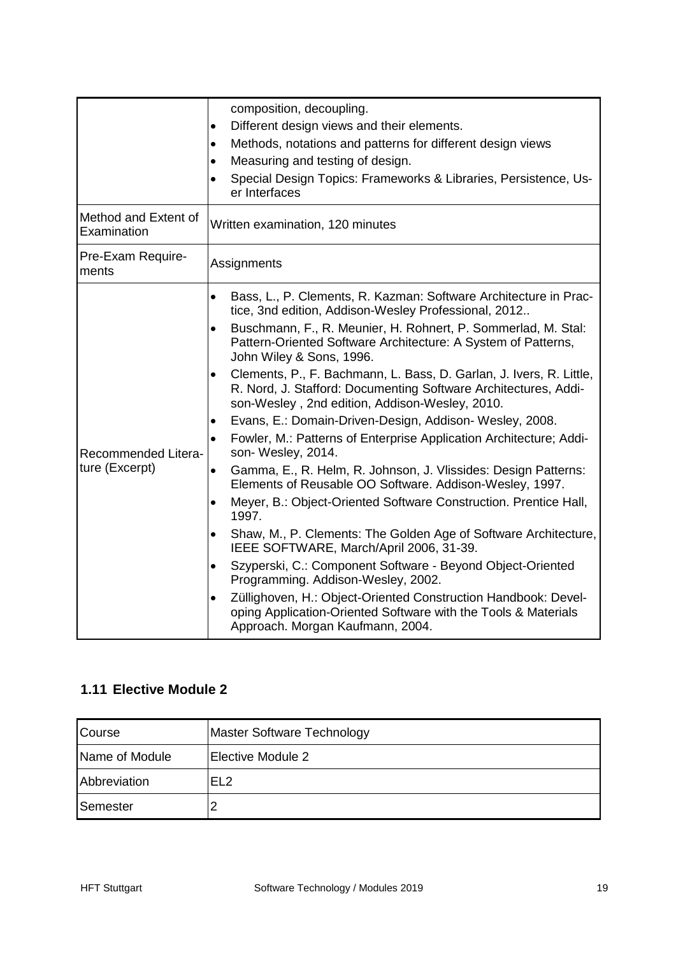|                                       | composition, decoupling.                                                                                                                                                                              |  |
|---------------------------------------|-------------------------------------------------------------------------------------------------------------------------------------------------------------------------------------------------------|--|
|                                       | Different design views and their elements.<br>$\bullet$                                                                                                                                               |  |
|                                       | Methods, notations and patterns for different design views<br>$\bullet$                                                                                                                               |  |
|                                       | Measuring and testing of design.<br>$\bullet$                                                                                                                                                         |  |
|                                       | Special Design Topics: Frameworks & Libraries, Persistence, Us-<br>$\bullet$<br>er Interfaces                                                                                                         |  |
| Method and Extent of<br>Examination   | Written examination, 120 minutes                                                                                                                                                                      |  |
| Pre-Exam Require-<br>ments            | Assignments                                                                                                                                                                                           |  |
|                                       | Bass, L., P. Clements, R. Kazman: Software Architecture in Prac-<br>$\bullet$<br>tice, 3nd edition, Addison-Wesley Professional, 2012                                                                 |  |
|                                       | Buschmann, F., R. Meunier, H. Rohnert, P. Sommerlad, M. Stal:<br>$\bullet$<br>Pattern-Oriented Software Architecture: A System of Patterns,<br>John Wiley & Sons, 1996.                               |  |
|                                       | Clements, P., F. Bachmann, L. Bass, D. Garlan, J. Ivers, R. Little,<br>$\bullet$<br>R. Nord, J. Stafford: Documenting Software Architectures, Addi-<br>son-Wesley, 2nd edition, Addison-Wesley, 2010. |  |
|                                       | Evans, E.: Domain-Driven-Design, Addison- Wesley, 2008.<br>$\bullet$                                                                                                                                  |  |
| Recommended Litera-<br>ture (Excerpt) | Fowler, M.: Patterns of Enterprise Application Architecture; Addi-<br>$\bullet$<br>son-Wesley, 2014.                                                                                                  |  |
|                                       | Gamma, E., R. Helm, R. Johnson, J. Vlissides: Design Patterns:<br>$\bullet$<br>Elements of Reusable OO Software. Addison-Wesley, 1997.                                                                |  |
|                                       | Meyer, B.: Object-Oriented Software Construction. Prentice Hall,<br>$\bullet$<br>1997.                                                                                                                |  |
|                                       | Shaw, M., P. Clements: The Golden Age of Software Architecture,<br>$\bullet$<br>IEEE SOFTWARE, March/April 2006, 31-39.                                                                               |  |
|                                       | Szyperski, C.: Component Software - Beyond Object-Oriented<br>٠<br>Programming. Addison-Wesley, 2002.                                                                                                 |  |
|                                       | Züllighoven, H.: Object-Oriented Construction Handbook: Devel-<br>$\bullet$<br>oping Application-Oriented Software with the Tools & Materials<br>Approach. Morgan Kaufmann, 2004.                     |  |

### <span id="page-19-0"></span>**1.11 Elective Module 2**

| Course         | Master Software Technology |
|----------------|----------------------------|
| Name of Module | Elective Module 2          |
| Abbreviation   | EL <sub>2</sub>            |
| Semester       |                            |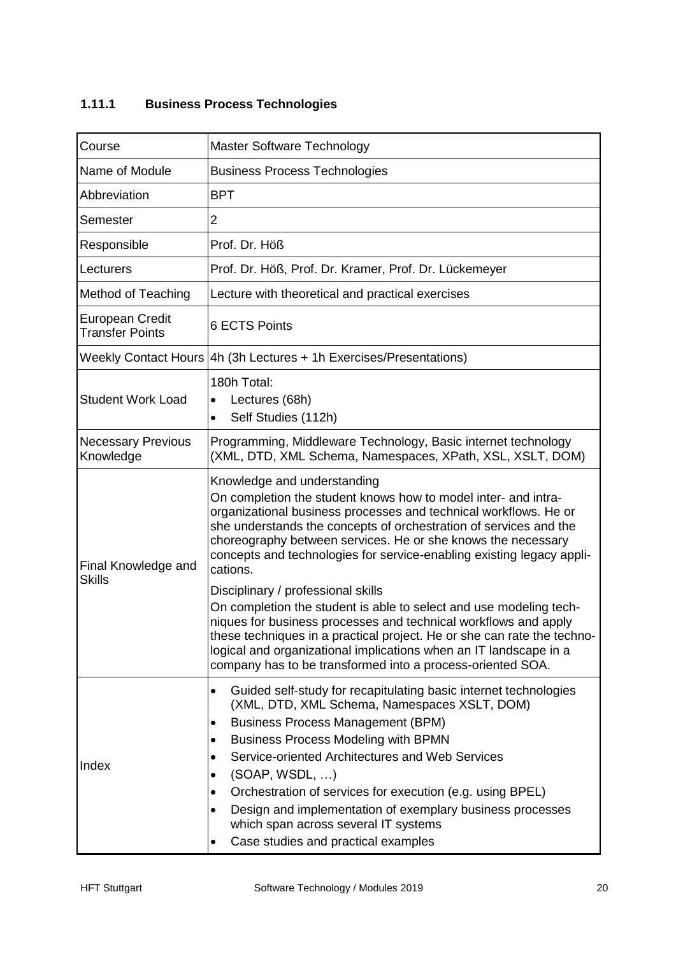#### <span id="page-20-0"></span>**1.11.1 Business Process Technologies**

| Course                                           | Master Software Technology                                                                                                                                                                                                                                                                                                                                                                                                                                                                                                                     |
|--------------------------------------------------|------------------------------------------------------------------------------------------------------------------------------------------------------------------------------------------------------------------------------------------------------------------------------------------------------------------------------------------------------------------------------------------------------------------------------------------------------------------------------------------------------------------------------------------------|
| Name of Module                                   | <b>Business Process Technologies</b>                                                                                                                                                                                                                                                                                                                                                                                                                                                                                                           |
| Abbreviation                                     | <b>BPT</b>                                                                                                                                                                                                                                                                                                                                                                                                                                                                                                                                     |
| Semester                                         | $\overline{2}$                                                                                                                                                                                                                                                                                                                                                                                                                                                                                                                                 |
| Responsible                                      | Prof. Dr. Höß                                                                                                                                                                                                                                                                                                                                                                                                                                                                                                                                  |
| Lecturers                                        | Prof. Dr. Höß, Prof. Dr. Kramer, Prof. Dr. Lückemeyer                                                                                                                                                                                                                                                                                                                                                                                                                                                                                          |
| <b>Method of Teaching</b>                        | Lecture with theoretical and practical exercises                                                                                                                                                                                                                                                                                                                                                                                                                                                                                               |
| <b>European Credit</b><br><b>Transfer Points</b> | <b>6 ECTS Points</b>                                                                                                                                                                                                                                                                                                                                                                                                                                                                                                                           |
|                                                  | Weekly Contact Hours 4h (3h Lectures + 1h Exercises/Presentations)                                                                                                                                                                                                                                                                                                                                                                                                                                                                             |
| <b>Student Work Load</b>                         | 180h Total:<br>Lectures (68h)<br>$\bullet$<br>Self Studies (112h)<br>$\bullet$                                                                                                                                                                                                                                                                                                                                                                                                                                                                 |
| <b>Necessary Previous</b><br>Knowledge           | Programming, Middleware Technology, Basic internet technology<br>(XML, DTD, XML Schema, Namespaces, XPath, XSL, XSLT, DOM)                                                                                                                                                                                                                                                                                                                                                                                                                     |
| Final Knowledge and<br><b>Skills</b>             | Knowledge and understanding<br>On completion the student knows how to model inter- and intra-<br>organizational business processes and technical workflows. He or<br>she understands the concepts of orchestration of services and the<br>choreography between services. He or she knows the necessary<br>concepts and technologies for service-enabling existing legacy appli-<br>cations.                                                                                                                                                    |
|                                                  | Disciplinary / professional skills<br>On completion the student is able to select and use modeling tech-<br>niques for business processes and technical workflows and apply<br>these techniques in a practical project. He or she can rate the techno-<br>logical and organizational implications when an IT landscape in a<br>company has to be transformed into a process-oriented SOA.                                                                                                                                                      |
| Index                                            | Guided self-study for recapitulating basic internet technologies<br>٠<br>(XML, DTD, XML Schema, Namespaces XSLT, DOM)<br><b>Business Process Management (BPM)</b><br>٠<br><b>Business Process Modeling with BPMN</b><br>٠<br>Service-oriented Architectures and Web Services<br>(SOAP, WSDL, )<br>$\bullet$<br>Orchestration of services for execution (e.g. using BPEL)<br>$\bullet$<br>Design and implementation of exemplary business processes<br>$\bullet$<br>which span across several IT systems<br>Case studies and practical examples |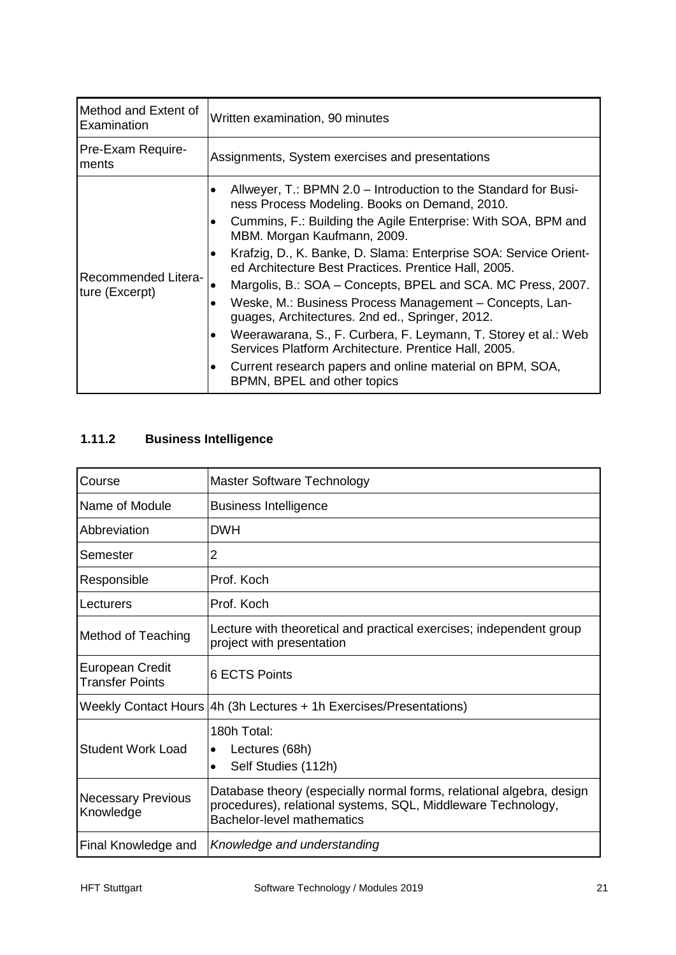| Method and Extent of<br>Examination   | Written examination, 90 minutes                                                                                                     |
|---------------------------------------|-------------------------------------------------------------------------------------------------------------------------------------|
| Pre-Exam Require-<br>ments            | Assignments, System exercises and presentations                                                                                     |
|                                       | Allweyer, T.: BPMN 2.0 – Introduction to the Standard for Busi-<br>٠<br>ness Process Modeling. Books on Demand, 2010.               |
|                                       | Cummins, F.: Building the Agile Enterprise: With SOA, BPM and<br>MBM. Morgan Kaufmann, 2009.                                        |
|                                       | Krafzig, D., K. Banke, D. Slama: Enterprise SOA: Service Orient-<br>٠<br>ed Architecture Best Practices. Prentice Hall, 2005.       |
| Recommended Litera-<br>ture (Excerpt) | Margolis, B.: SOA - Concepts, BPEL and SCA. MC Press, 2007.<br>٠                                                                    |
|                                       | Weske, M.: Business Process Management - Concepts, Lan-<br>$\bullet$<br>guages, Architectures. 2nd ed., Springer, 2012.             |
|                                       | Weerawarana, S., F. Curbera, F. Leymann, T. Storey et al.: Web<br>$\bullet$<br>Services Platform Architecture. Prentice Hall, 2005. |
|                                       | Current research papers and online material on BPM, SOA,<br>٠<br>BPMN, BPEL and other topics                                        |

### <span id="page-21-0"></span>**1.11.2 Business Intelligence**

| Course                                    | <b>Master Software Technology</b>                                                                                                                                  |  |  |
|-------------------------------------------|--------------------------------------------------------------------------------------------------------------------------------------------------------------------|--|--|
| Name of Module                            | <b>Business Intelligence</b>                                                                                                                                       |  |  |
| Abbreviation                              | <b>DWH</b>                                                                                                                                                         |  |  |
| Semester                                  | 2                                                                                                                                                                  |  |  |
| Responsible                               | Prof. Koch                                                                                                                                                         |  |  |
| Lecturers                                 | Prof. Koch                                                                                                                                                         |  |  |
| <b>Method of Teaching</b>                 | Lecture with theoretical and practical exercises; independent group<br>project with presentation                                                                   |  |  |
| European Credit<br><b>Transfer Points</b> | 6 ECTS Points                                                                                                                                                      |  |  |
|                                           | Weekly Contact Hours 4h (3h Lectures + 1h Exercises/Presentations)                                                                                                 |  |  |
| <b>Student Work Load</b>                  | 180h Total:<br>Lectures (68h)<br>$\bullet$<br>Self Studies (112h)                                                                                                  |  |  |
| <b>Necessary Previous</b><br>Knowledge    | Database theory (especially normal forms, relational algebra, design<br>procedures), relational systems, SQL, Middleware Technology,<br>Bachelor-level mathematics |  |  |
| Final Knowledge and                       | Knowledge and understanding                                                                                                                                        |  |  |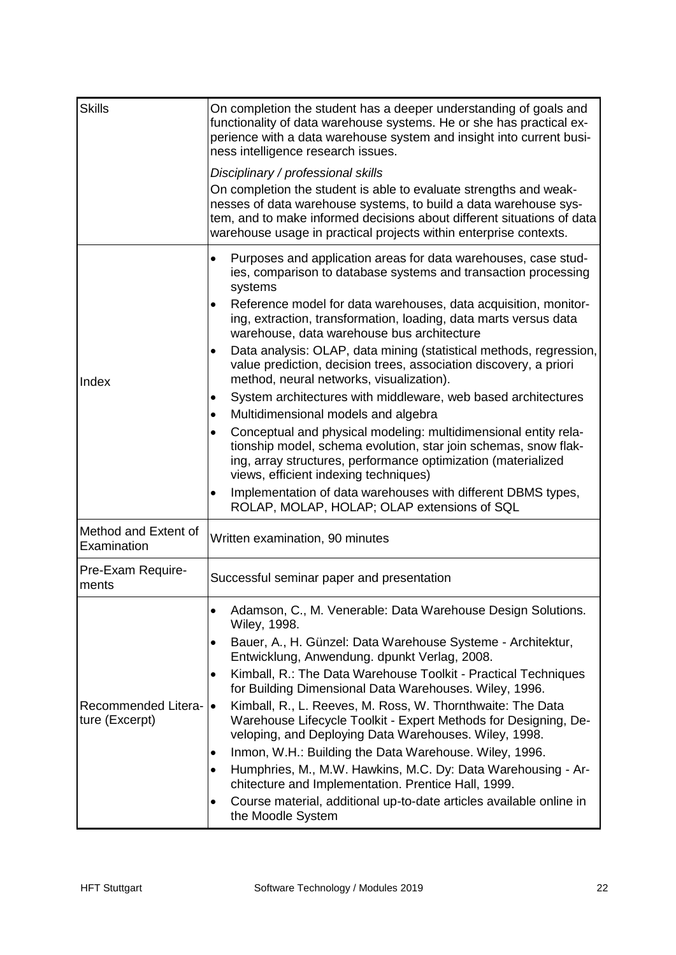| <b>Skills</b>                                | On completion the student has a deeper understanding of goals and<br>functionality of data warehouse systems. He or she has practical ex-<br>perience with a data warehouse system and insight into current busi-<br>ness intelligence research issues.                              |  |  |  |
|----------------------------------------------|--------------------------------------------------------------------------------------------------------------------------------------------------------------------------------------------------------------------------------------------------------------------------------------|--|--|--|
|                                              | Disciplinary / professional skills                                                                                                                                                                                                                                                   |  |  |  |
|                                              | On completion the student is able to evaluate strengths and weak-<br>nesses of data warehouse systems, to build a data warehouse sys-<br>tem, and to make informed decisions about different situations of data<br>warehouse usage in practical projects within enterprise contexts. |  |  |  |
| Index                                        | Purposes and application areas for data warehouses, case stud-<br>٠<br>ies, comparison to database systems and transaction processing<br>systems                                                                                                                                     |  |  |  |
|                                              | Reference model for data warehouses, data acquisition, monitor-<br>ing, extraction, transformation, loading, data marts versus data<br>warehouse, data warehouse bus architecture                                                                                                    |  |  |  |
|                                              | Data analysis: OLAP, data mining (statistical methods, regression,<br>$\bullet$<br>value prediction, decision trees, association discovery, a priori<br>method, neural networks, visualization).                                                                                     |  |  |  |
|                                              | System architectures with middleware, web based architectures<br>٠                                                                                                                                                                                                                   |  |  |  |
|                                              | Multidimensional models and algebra<br>٠                                                                                                                                                                                                                                             |  |  |  |
|                                              | Conceptual and physical modeling: multidimensional entity rela-<br>$\bullet$<br>tionship model, schema evolution, star join schemas, snow flak-<br>ing, array structures, performance optimization (materialized<br>views, efficient indexing techniques)                            |  |  |  |
|                                              | Implementation of data warehouses with different DBMS types,<br>$\bullet$<br>ROLAP, MOLAP, HOLAP; OLAP extensions of SQL                                                                                                                                                             |  |  |  |
| Method and Extent of<br>Examination          | Written examination, 90 minutes                                                                                                                                                                                                                                                      |  |  |  |
| Pre-Exam Require-<br>ments                   | Successful seminar paper and presentation                                                                                                                                                                                                                                            |  |  |  |
| <b>Recommended Litera-</b><br>ture (Excerpt) | Adamson, C., M. Venerable: Data Warehouse Design Solutions.<br>$\bullet$<br>Wiley, 1998.                                                                                                                                                                                             |  |  |  |
|                                              | Bauer, A., H. Günzel: Data Warehouse Systeme - Architektur,<br>Entwicklung, Anwendung. dpunkt Verlag, 2008.                                                                                                                                                                          |  |  |  |
|                                              | Kimball, R.: The Data Warehouse Toolkit - Practical Techniques<br>for Building Dimensional Data Warehouses. Wiley, 1996.                                                                                                                                                             |  |  |  |
|                                              | Kimball, R., L. Reeves, M. Ross, W. Thornthwaite: The Data<br>$\bullet$<br>Warehouse Lifecycle Toolkit - Expert Methods for Designing, De-<br>veloping, and Deploying Data Warehouses. Wiley, 1998.                                                                                  |  |  |  |
|                                              | Inmon, W.H.: Building the Data Warehouse. Wiley, 1996.<br>٠                                                                                                                                                                                                                          |  |  |  |
|                                              | Humphries, M., M.W. Hawkins, M.C. Dy: Data Warehousing - Ar-<br>chitecture and Implementation. Prentice Hall, 1999.                                                                                                                                                                  |  |  |  |
|                                              | Course material, additional up-to-date articles available online in<br>$\bullet$<br>the Moodle System                                                                                                                                                                                |  |  |  |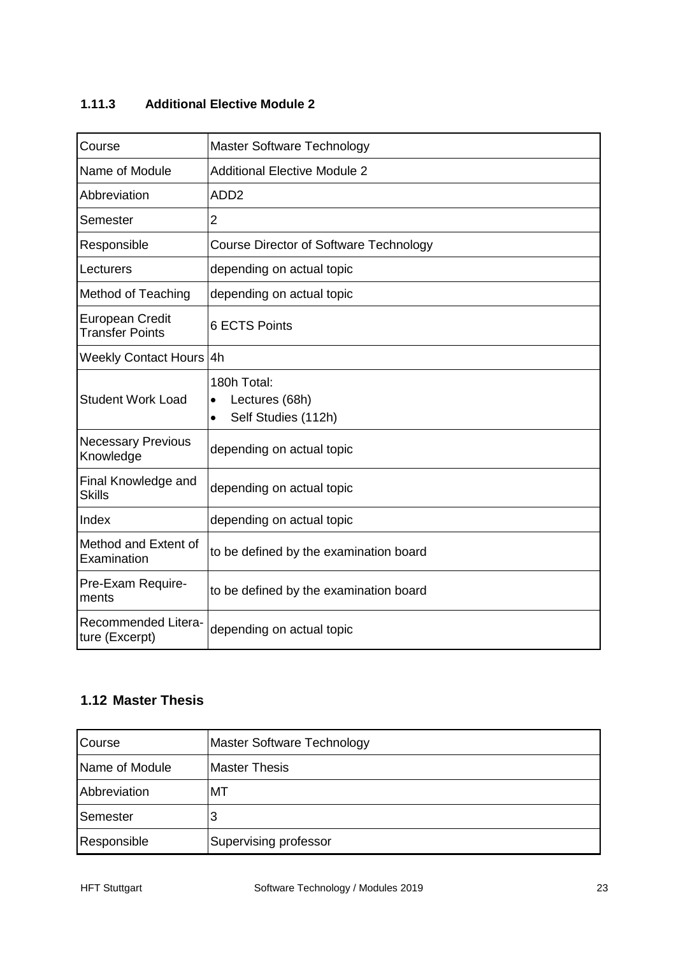#### <span id="page-23-0"></span>**1.11.3 Additional Elective Module 2**

| Course                                           | Master Software Technology                                                     |  |  |
|--------------------------------------------------|--------------------------------------------------------------------------------|--|--|
| Name of Module                                   | <b>Additional Elective Module 2</b>                                            |  |  |
| Abbreviation                                     | ADD <sub>2</sub>                                                               |  |  |
| Semester                                         | $\overline{2}$                                                                 |  |  |
| Responsible                                      | <b>Course Director of Software Technology</b>                                  |  |  |
| Lecturers                                        | depending on actual topic                                                      |  |  |
| <b>Method of Teaching</b>                        | depending on actual topic                                                      |  |  |
| <b>European Credit</b><br><b>Transfer Points</b> | <b>6 ECTS Points</b>                                                           |  |  |
| Weekly Contact Hours 4h                          |                                                                                |  |  |
| <b>Student Work Load</b>                         | 180h Total:<br>Lectures (68h)<br>$\bullet$<br>Self Studies (112h)<br>$\bullet$ |  |  |
| <b>Necessary Previous</b><br>Knowledge           | depending on actual topic                                                      |  |  |
| Final Knowledge and<br><b>Skills</b>             | depending on actual topic                                                      |  |  |
| Index                                            | depending on actual topic                                                      |  |  |
| Method and Extent of<br>Examination              | to be defined by the examination board                                         |  |  |
| Pre-Exam Require-<br>ments                       | to be defined by the examination board                                         |  |  |
| Recommended Litera-<br>ture (Excerpt)            | depending on actual topic                                                      |  |  |

#### <span id="page-23-1"></span>**1.12 Master Thesis**

| Course         | Master Software Technology |  |  |
|----------------|----------------------------|--|--|
| Name of Module | <b>Master Thesis</b>       |  |  |
| Abbreviation   | МT                         |  |  |
| Semester       | 3                          |  |  |
| Responsible    | Supervising professor      |  |  |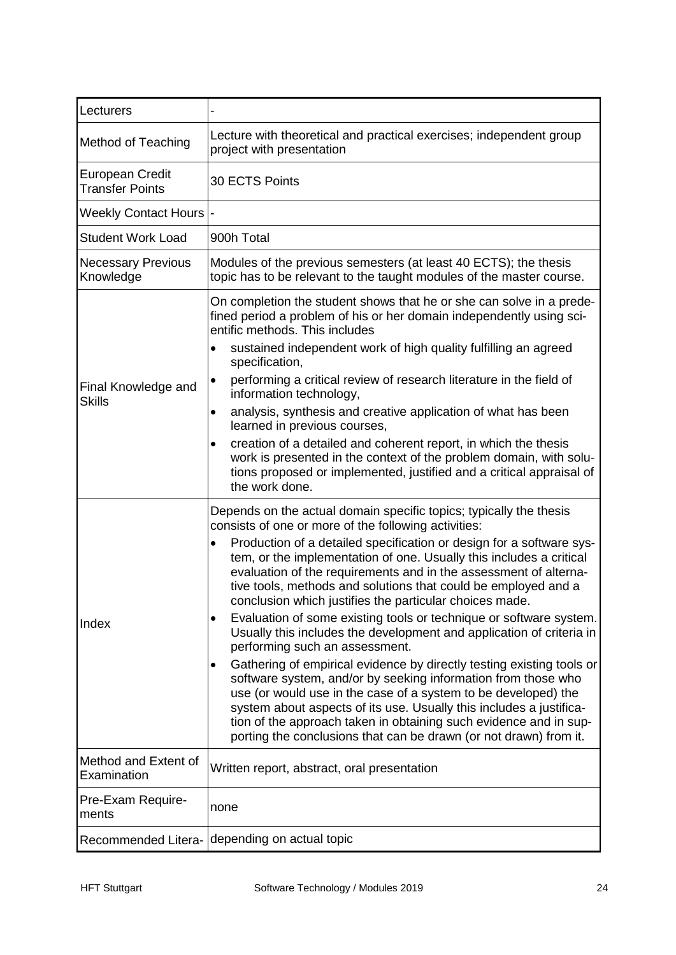| Lecturers                                 |                                                                                                                                                                                                                                                                                                                                                                                                                                        |  |  |  |
|-------------------------------------------|----------------------------------------------------------------------------------------------------------------------------------------------------------------------------------------------------------------------------------------------------------------------------------------------------------------------------------------------------------------------------------------------------------------------------------------|--|--|--|
| Method of Teaching                        | Lecture with theoretical and practical exercises; independent group<br>project with presentation                                                                                                                                                                                                                                                                                                                                       |  |  |  |
| European Credit<br><b>Transfer Points</b> | 30 ECTS Points                                                                                                                                                                                                                                                                                                                                                                                                                         |  |  |  |
| Weekly Contact Hours  -                   |                                                                                                                                                                                                                                                                                                                                                                                                                                        |  |  |  |
| <b>Student Work Load</b>                  | 900h Total                                                                                                                                                                                                                                                                                                                                                                                                                             |  |  |  |
| <b>Necessary Previous</b><br>Knowledge    | Modules of the previous semesters (at least 40 ECTS); the thesis<br>topic has to be relevant to the taught modules of the master course.                                                                                                                                                                                                                                                                                               |  |  |  |
|                                           | On completion the student shows that he or she can solve in a prede-<br>fined period a problem of his or her domain independently using sci-<br>entific methods. This includes                                                                                                                                                                                                                                                         |  |  |  |
|                                           | sustained independent work of high quality fulfilling an agreed<br>$\bullet$<br>specification,                                                                                                                                                                                                                                                                                                                                         |  |  |  |
| Final Knowledge and<br><b>Skills</b>      | performing a critical review of research literature in the field of<br>$\bullet$<br>information technology,                                                                                                                                                                                                                                                                                                                            |  |  |  |
|                                           | analysis, synthesis and creative application of what has been<br>$\bullet$<br>learned in previous courses,                                                                                                                                                                                                                                                                                                                             |  |  |  |
|                                           | creation of a detailed and coherent report, in which the thesis<br>$\bullet$<br>work is presented in the context of the problem domain, with solu-<br>tions proposed or implemented, justified and a critical appraisal of<br>the work done.                                                                                                                                                                                           |  |  |  |
| Index                                     | Depends on the actual domain specific topics; typically the thesis<br>consists of one or more of the following activities:                                                                                                                                                                                                                                                                                                             |  |  |  |
|                                           | Production of a detailed specification or design for a software sys-<br>$\bullet$<br>tem, or the implementation of one. Usually this includes a critical<br>evaluation of the requirements and in the assessment of alterna-<br>tive tools, methods and solutions that could be employed and a<br>conclusion which justifies the particular choices made.                                                                              |  |  |  |
|                                           | Evaluation of some existing tools or technique or software system.<br>$\bullet$<br>Usually this includes the development and application of criteria in<br>performing such an assessment.                                                                                                                                                                                                                                              |  |  |  |
|                                           | Gathering of empirical evidence by directly testing existing tools or<br>$\bullet$<br>software system, and/or by seeking information from those who<br>use (or would use in the case of a system to be developed) the<br>system about aspects of its use. Usually this includes a justifica-<br>tion of the approach taken in obtaining such evidence and in sup-<br>porting the conclusions that can be drawn (or not drawn) from it. |  |  |  |
| Method and Extent of<br>Examination       | Written report, abstract, oral presentation                                                                                                                                                                                                                                                                                                                                                                                            |  |  |  |
| Pre-Exam Require-<br>ments                | none                                                                                                                                                                                                                                                                                                                                                                                                                                   |  |  |  |
| Recommended Litera-                       | depending on actual topic                                                                                                                                                                                                                                                                                                                                                                                                              |  |  |  |